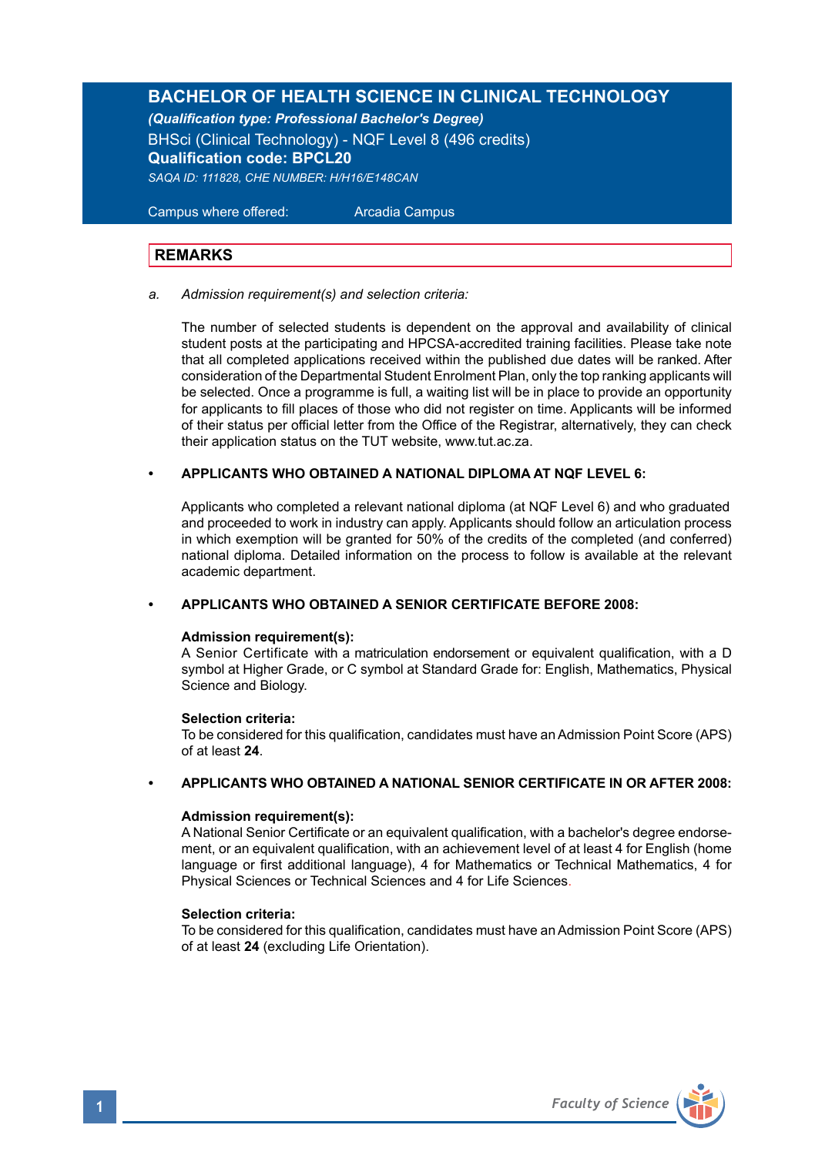# **BACHELOR OF HEALTH SCIENCE IN CLINICAL TECHNOLOGY**

*(Qualification type: Professional Bachelor's Degree)*

BHSci (Clinical Technology) - NQF Level 8 (496 credits) **Qualification code: BPCL20** *SAQA ID: 111828, CHE NUMBER: H/H16/E148CAN*

 Campus where offered: Arcadia Campus

# **REMARKS**

#### *a. Admission requirement(s) and selection criteria:*

The number of selected students is dependent on the approval and availability of clinical student posts at the participating and HPCSA-accredited training facilities. Please take note that all completed applications received within the published due dates will be ranked. After consideration of the Departmental Student Enrolment Plan, only the top ranking applicants will be selected. Once a programme is full, a waiting list will be in place to provide an opportunity for applicants to fill places of those who did not register on time. Applicants will be informed of their status per official letter from the Office of the Registrar, alternatively, they can check their application status on the TUT website, www.tut.ac.za.

### **• APPLICANTS WHO OBTAINED A NATIONAL DIPLOMA AT NQF LEVEL 6:**

Applicants who completed a relevant national diploma (at NQF Level 6) and who graduated and proceeded to work in industry can apply. Applicants should follow an articulation process in which exemption will be granted for 50% of the credits of the completed (and conferred) national diploma. Detailed information on the process to follow is available at the relevant academic department.

### **• APPLICANTS WHO OBTAINED A SENIOR CERTIFICATE BEFORE 2008:**

### **Admission requirement(s):**

A Senior Certificate with a matriculation endorsement or equivalent qualification, with a D symbol at Higher Grade, or C symbol at Standard Grade for: English, Mathematics, Physical Science and Biology.

### **Selection criteria:**

To be considered for this qualification, candidates must have an Admission Point Score (APS) of at least **24**.

# **• APPLICANTS WHO OBTAINED A NATIONAL SENIOR CERTIFICATE IN OR AFTER 2008:**

### **Admission requirement(s):**

A National Senior Certificate or an equivalent qualification, with a bachelor's degree endorsement, or an equivalent qualification, with an achievement level of at least 4 for English (home language or first additional language), 4 for Mathematics or Technical Mathematics, 4 for Physical Sciences or Technical Sciences and 4 for Life Sciences.

### **Selection criteria:**

To be considered for this qualification, candidates must have an Admission Point Score (APS) of at least **24** (excluding Life Orientation).

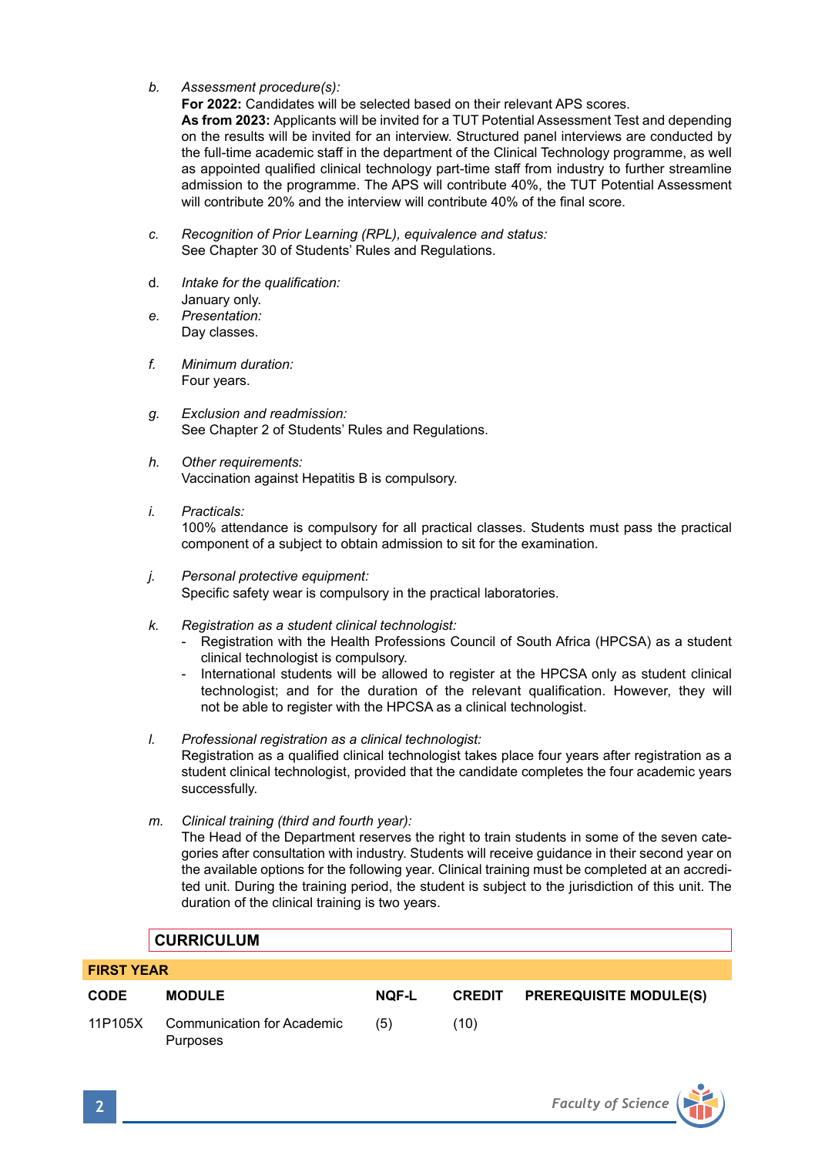*b. Assessment procedure(s):*

**For 2022:** Candidates will be selected based on their relevant APS scores.

**As from 2023:** Applicants will be invited for a TUT Potential Assessment Test and depending on the results will be invited for an interview. Structured panel interviews are conducted by the full-time academic staff in the department of the Clinical Technology programme, as well as appointed qualified clinical technology part-time staff from industry to further streamline admission to the programme. The APS will contribute 40%, the TUT Potential Assessment will contribute 20% and the interview will contribute 40% of the final score.

- *c. Recognition of Prior Learning (RPL), equivalence and status:* See Chapter 30 of Students' Rules and Regulations.
- d*. Intake for the qualification:*  January only.
- *e. Presentation:*  Day classes.
- *f. Minimum duration:* Four years.
- *g. Exclusion and readmission:* See Chapter 2 of Students' Rules and Regulations.
- *h. Other requirements:* Vaccination against Hepatitis B is compulsory.
- *i. Practicals:*

100% attendance is compulsory for all practical classes. Students must pass the practical component of a subject to obtain admission to sit for the examination.

- *j. Personal protective equipment:* Specific safety wear is compulsory in the practical laboratories.
- *k. Registration as a student clinical technologist:*
	- Registration with the Health Professions Council of South Africa (HPCSA) as a student clinical technologist is compulsory.
	- International students will be allowed to register at the HPCSA only as student clinical technologist; and for the duration of the relevant qualification. However, they will not be able to register with the HPCSA as a clinical technologist.
- *l. Professional registration as a clinical technologist:*  Registration as a qualified clinical technologist takes place four years after registration as a student clinical technologist, provided that the candidate completes the four academic years successfully.
- *m. Clinical training (third and fourth year):*

The Head of the Department reserves the right to train students in some of the seven categories after consultation with industry. Students will receive guidance in their second year on the available options for the following year. Clinical training must be completed at an accredited unit. During the training period, the student is subject to the jurisdiction of this unit. The duration of the clinical training is two years.

# **CURRICULUM**

| <b>FIRST YEAR</b> |                                        |       |      |                                      |  |  |
|-------------------|----------------------------------------|-------|------|--------------------------------------|--|--|
| <b>CODE</b>       | <b>MODULE</b>                          | NOF-L |      | <b>CREDIT PREREQUISITE MODULE(S)</b> |  |  |
| 11P105X           | Communication for Academic<br>Purposes | (5)   | (10) |                                      |  |  |

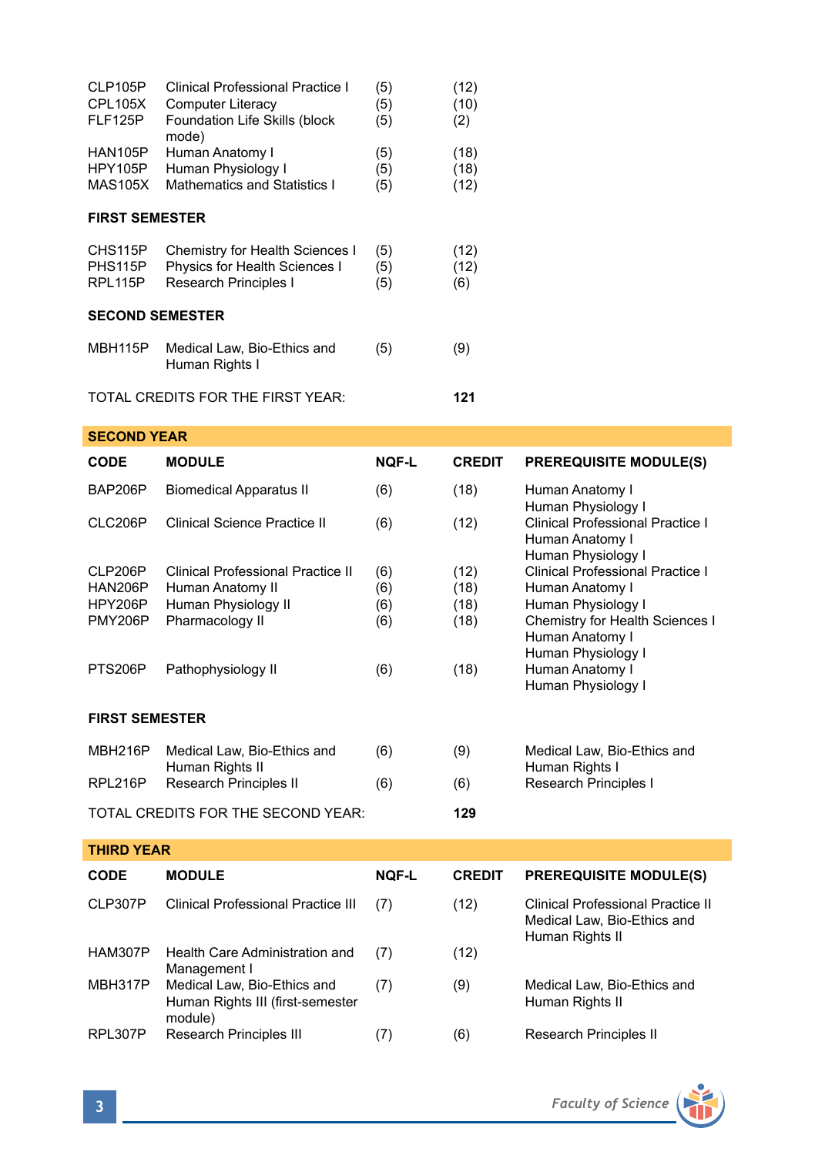| CLP105P<br><b>CPL105X</b><br>FLF125P     | <b>Clinical Professional Practice I</b><br><b>Computer Literacy</b><br>Foundation Life Skills (block<br>mode) | (5)<br>(5)<br>(5)        | (12)<br>(10)<br>(2)          |                                                                                                                                 |
|------------------------------------------|---------------------------------------------------------------------------------------------------------------|--------------------------|------------------------------|---------------------------------------------------------------------------------------------------------------------------------|
| HAN105P<br>HPY105P<br><b>MAS105X</b>     | Human Anatomy I<br>Human Physiology I<br><b>Mathematics and Statistics I</b>                                  | (5)<br>(5)<br>(5)        | (18)<br>(18)<br>(12)         |                                                                                                                                 |
| <b>FIRST SEMESTER</b>                    |                                                                                                               |                          |                              |                                                                                                                                 |
| CHS115P<br>PHS115P<br>RPL115P            | Chemistry for Health Sciences I<br>Physics for Health Sciences I<br>Research Principles I                     | (5)<br>(5)<br>(5)        | (12)<br>(12)<br>(6)          |                                                                                                                                 |
| <b>SECOND SEMESTER</b>                   |                                                                                                               |                          |                              |                                                                                                                                 |
| MBH115P                                  | Medical Law, Bio-Ethics and<br>Human Rights I                                                                 | (5)                      | (9)                          |                                                                                                                                 |
|                                          | TOTAL CREDITS FOR THE FIRST YEAR:                                                                             |                          | 121                          |                                                                                                                                 |
| <b>SECOND YEAR</b>                       |                                                                                                               |                          |                              |                                                                                                                                 |
| <b>CODE</b>                              | <b>MODULE</b>                                                                                                 | <b>NOF-L</b>             | <b>CREDIT</b>                | <b>PREREQUISITE MODULE(S)</b>                                                                                                   |
| BAP206P                                  | <b>Biomedical Apparatus II</b>                                                                                | (6)                      | (18)                         | Human Anatomy I<br>Human Physiology I                                                                                           |
| CLC206P                                  | Clinical Science Practice II                                                                                  | (6)                      | (12)                         | <b>Clinical Professional Practice I</b><br>Human Anatomy I<br>Human Physiology I                                                |
| CLP206P<br>HAN206P<br>HPY206P<br>PMY206P | Clinical Professional Practice II<br>Human Anatomy II<br>Human Physiology II<br>Pharmacology II               | (6)<br>(6)<br>(6)<br>(6) | (12)<br>(18)<br>(18)<br>(18) | Clinical Professional Practice I<br>Human Anatomy I<br>Human Physiology I<br>Chemistry for Health Sciences I<br>Human Anatomy I |

| MBH216P | Medical Law, Bio-Ethics and | (6) | (9) | Medical Law. Bio-Ethics and |
|---------|-----------------------------|-----|-----|-----------------------------|
|         | Human Rights II             |     |     | Human Rights I              |
| RPL216P | Research Principles II      | (6) | (6) | Research Principles I       |

PTS206P Pathophysiology II (6) (18)

TOTAL CREDITS FOR THE SECOND YEAR: **129**

| <b>THIRD YEAR</b> |                                                                            |              |               |                                                                                     |  |
|-------------------|----------------------------------------------------------------------------|--------------|---------------|-------------------------------------------------------------------------------------|--|
| <b>CODE</b>       | <b>MODULE</b>                                                              | <b>NQF-L</b> | <b>CREDIT</b> | <b>PREREQUISITE MODULE(S)</b>                                                       |  |
| CLP307P           | <b>Clinical Professional Practice III</b>                                  | (7)          | (12)          | Clinical Professional Practice II<br>Medical Law, Bio-Ethics and<br>Human Rights II |  |
| HAM307P           | Health Care Administration and<br>Management I                             | (7)          | (12)          |                                                                                     |  |
| MBH317P           | Medical Law, Bio-Ethics and<br>Human Rights III (first-semester<br>module) | (7)          | (9)           | Medical Law, Bio-Ethics and<br>Human Rights II                                      |  |
| RPL307P           | <b>Research Principles III</b>                                             | (7)          | (6)           | Research Principles II                                                              |  |



Human Physiology I<br>Human Anatomy I

Human Physiology I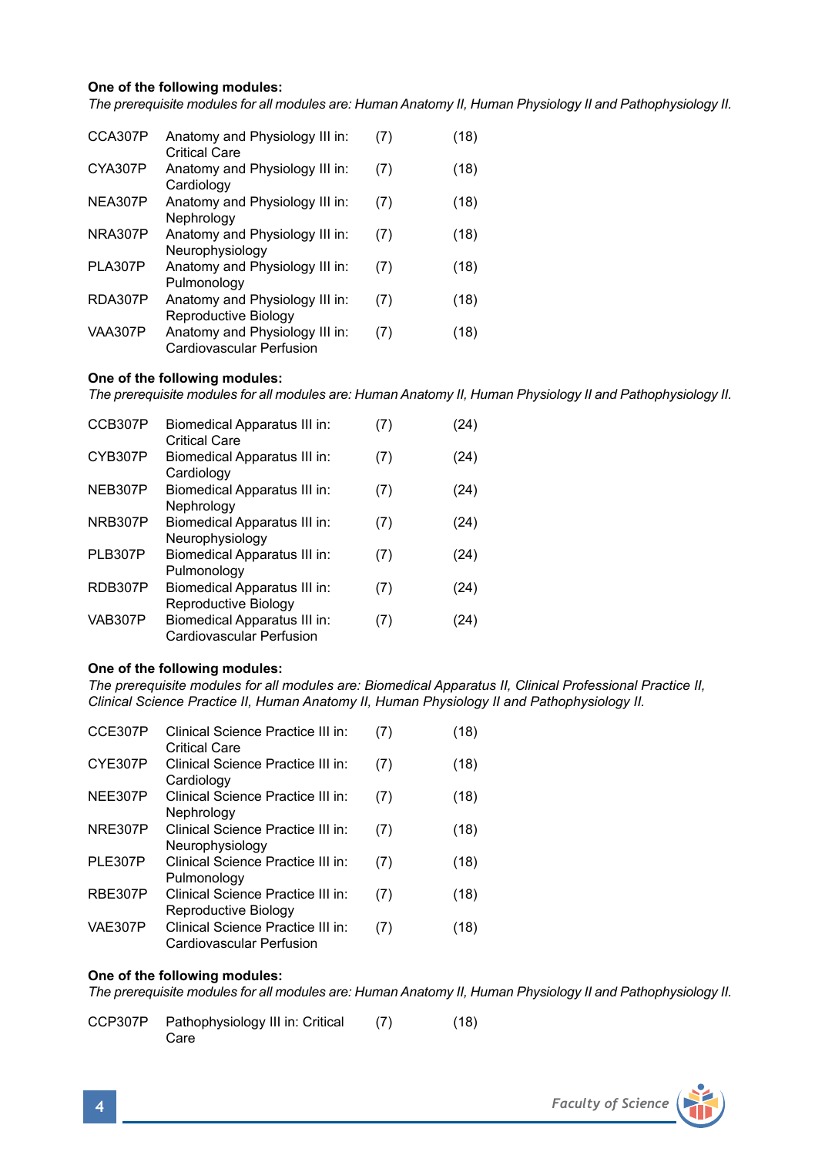# **One of the following modules:**

*The prerequisite modules for all modules are: Human Anatomy II, Human Physiology II and Pathophysiology II.*

| CCA307P        | Anatomy and Physiology III in:<br>Critical Care            | (7) | (18) |
|----------------|------------------------------------------------------------|-----|------|
| CYA307P        | Anatomy and Physiology III in:<br>Cardiology               | (7) | (18) |
| NEA307P        | Anatomy and Physiology III in:<br>Nephrology               | (7) | (18) |
| NRA307P        | Anatomy and Physiology III in:<br>Neurophysiology          | (7) | (18) |
| PLA307P        | Anatomy and Physiology III in:<br>Pulmonoloav              | (7) | (18) |
| RDA307P        | Anatomy and Physiology III in:<br>Reproductive Biology     | (7) | (18) |
| <b>VAA307P</b> | Anatomy and Physiology III in:<br>Cardiovascular Perfusion | (7) | (18) |

#### **One of the following modules:**

*The prerequisite modules for all modules are: Human Anatomy II, Human Physiology II and Pathophysiology II.*

| CCB307P        | Biomedical Apparatus III in:<br><b>Critical Care</b>     | (7) | (24) |
|----------------|----------------------------------------------------------|-----|------|
| CYB307P        | Biomedical Apparatus III in:<br>Cardiology               | (7) | (24) |
| NEB307P        | Biomedical Apparatus III in:<br>Nephrology               | (7) | (24) |
| NRB307P        | Biomedical Apparatus III in:<br>Neurophysiology          | (7) | (24) |
| PLB307P        | Biomedical Apparatus III in:<br>Pulmonology              | (7) | (24) |
| RDB307P        | Biomedical Apparatus III in:<br>Reproductive Biology     | (7) | (24) |
| <b>VAB307P</b> | Biomedical Apparatus III in:<br>Cardiovascular Perfusion | (7) | (24) |

### **One of the following modules:**

*The prerequisite modules for all modules are: Biomedical Apparatus II, Clinical Professional Practice II, Clinical Science Practice II, Human Anatomy II, Human Physiology II and Pathophysiology II.*

| CCE307P        | Clinical Science Practice III in:<br><b>Critical Care</b>     | (7) | (18) |
|----------------|---------------------------------------------------------------|-----|------|
| CYE307P        | Clinical Science Practice III in:<br>Cardiology               | (7) | (18) |
| NEE307P        | Clinical Science Practice III in:<br>Nephrology               | (7) | (18) |
| <b>NRE307P</b> | Clinical Science Practice III in:<br>Neurophysiology          | (7) | (18) |
| <b>PLE307P</b> | Clinical Science Practice III in:<br>Pulmonology              | (7) | (18) |
| <b>RBE307P</b> | Clinical Science Practice III in:<br>Reproductive Biology     | (7) | (18) |
| <b>VAE307P</b> | Clinical Science Practice III in:<br>Cardiovascular Perfusion | (7) | (18) |

### **One of the following modules:**

*The prerequisite modules for all modules are: Human Anatomy II, Human Physiology II and Pathophysiology II.*

CCP307P Pathophysiology III in: Critical (7) (18) Care

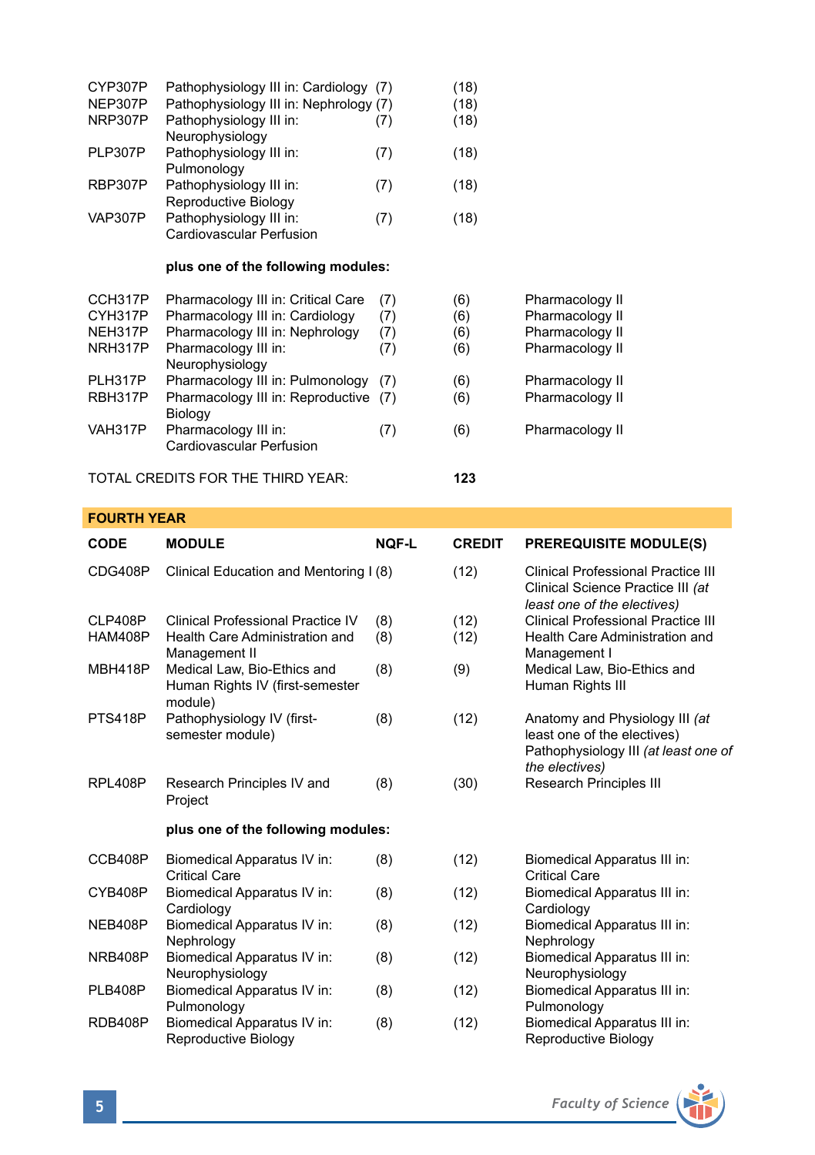| CYP307P<br>NEP307P | Pathophysiology III in: Cardiology (7)<br>Pathophysiology III in: Nephrology (7) |     | (18)<br>(18) |                 |
|--------------------|----------------------------------------------------------------------------------|-----|--------------|-----------------|
| NRP307P            | Pathophysiology III in:<br>Neurophysiology                                       | (7) | (18)         |                 |
| PLP307P            | Pathophysiology III in:<br>Pulmonology                                           | (7) | (18)         |                 |
| RBP307P            | Pathophysiology III in:<br>Reproductive Biology                                  | (7) | (18)         |                 |
| <b>VAP307P</b>     | Pathophysiology III in:<br>Cardiovascular Perfusion                              | (7) | (18)         |                 |
|                    | plus one of the following modules:                                               |     |              |                 |
| CCH317P            | Pharmacology III in: Critical Care                                               | (7) | (6)          | Pharmacology II |
| CYH317P            | Pharmacology III in: Cardiology                                                  | (7) | (6)          | Pharmacology II |
| NEH317P            | Pharmacology III in: Nephrology                                                  | (7) | (6)          | Pharmacology II |
| NRH317P            | Pharmacology III in:<br>Neurophysiology                                          | (7) | (6)          | Pharmacology II |
| PLH317P            | Pharmacology III in: Pulmonology                                                 | (7) | (6)          | Pharmacology II |
| RBH317P            | Pharmacology III in: Reproductive<br>Biology                                     | (7) | (6)          | Pharmacology II |
| VAH317P            | Pharmacology III in:<br>Cardiovascular Perfusion                                 | (7) | (6)          | Pharmacology II |
|                    | TOTAL CREDITS FOR THE THIRD YEAR:                                                |     | 123          |                 |

# **FOURTH YEAR**

| <b>CODE</b>    | <b>MODULE</b>                                                             | <b>NOF-L</b> | <b>CREDIT</b> | <b>PREREQUISITE MODULE(S)</b>                                                                                           |
|----------------|---------------------------------------------------------------------------|--------------|---------------|-------------------------------------------------------------------------------------------------------------------------|
| CDG408P        | Clinical Education and Mentoring I (8)                                    |              | (12)          | Clinical Professional Practice III<br>Clinical Science Practice III (at<br>least one of the electives)                  |
| CLP408P        | Clinical Professional Practice IV                                         | (8)          | (12)          | Clinical Professional Practice III                                                                                      |
| <b>HAM408P</b> | Health Care Administration and<br>Management II                           | (8)          | (12)          | Health Care Administration and<br>Management I                                                                          |
| <b>MBH418P</b> | Medical Law, Bio-Ethics and<br>Human Rights IV (first-semester<br>module) | (8)          | (9)           | Medical Law, Bio-Ethics and<br>Human Rights III                                                                         |
| PTS418P        | Pathophysiology IV (first-<br>semester module)                            | (8)          | (12)          | Anatomy and Physiology III (at<br>least one of the electives)<br>Pathophysiology III (at least one of<br>the electives) |
| RPL408P        | Research Principles IV and<br>Project                                     | (8)          | (30)          | Research Principles III                                                                                                 |
|                | plus one of the following modules:                                        |              |               |                                                                                                                         |
| CCB408P        | Biomedical Apparatus IV in:<br><b>Critical Care</b>                       | (8)          | (12)          | Biomedical Apparatus III in:<br><b>Critical Care</b>                                                                    |
| CYB408P        | Biomedical Apparatus IV in:<br>Cardiology                                 | (8)          | (12)          | Biomedical Apparatus III in:<br>Cardiology                                                                              |
| NEB408P        | Biomedical Apparatus IV in:<br>Nephrology                                 | (8)          | (12)          | Biomedical Apparatus III in:<br>Nephrology                                                                              |
| NRB408P        | Biomedical Apparatus IV in:<br>Neurophysiology                            | (8)          | (12)          | Biomedical Apparatus III in:<br>Neurophysiology                                                                         |
| PLB408P        | Biomedical Apparatus IV in:<br>Pulmonology                                | (8)          | (12)          | Biomedical Apparatus III in:<br>Pulmonology                                                                             |
| RDB408P        | Biomedical Apparatus IV in:<br>Reproductive Biology                       | (8)          | (12)          | Biomedical Apparatus III in:<br>Reproductive Biology                                                                    |

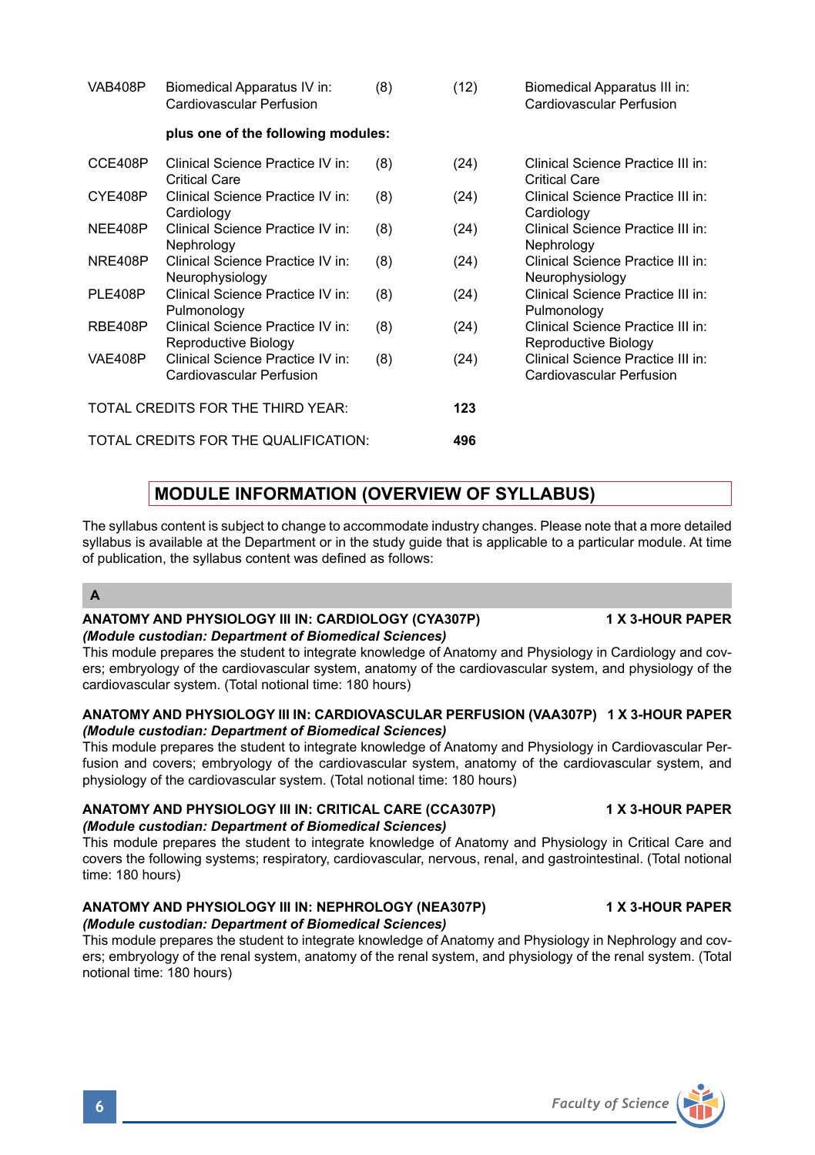| <b>VAB408P</b> | Biomedical Apparatus IV in:<br>Cardiovascular Perfusion      | (8) | (12) | Biomedical Apparatus III in:<br>Cardiovascular Perfusion      |
|----------------|--------------------------------------------------------------|-----|------|---------------------------------------------------------------|
|                | plus one of the following modules:                           |     |      |                                                               |
| CCE408P        | Clinical Science Practice IV in:<br><b>Critical Care</b>     | (8) | (24) | Clinical Science Practice III in:<br><b>Critical Care</b>     |
| CYE408P        | Clinical Science Practice IV in:<br>Cardiology               | (8) | (24) | Clinical Science Practice III in:<br>Cardiology               |
| NEE408P        | Clinical Science Practice IV in:<br>Nephrology               | (8) | (24) | Clinical Science Practice III in:<br>Nephrology               |
| NRE408P        | Clinical Science Practice IV in:<br>Neurophysiology          | (8) | (24) | Clinical Science Practice III in:<br>Neurophysiology          |
| PLE408P        | Clinical Science Practice IV in:<br>Pulmonology              | (8) | (24) | Clinical Science Practice III in:<br>Pulmonology              |
| RBE408P        | Clinical Science Practice IV in:<br>Reproductive Biology     | (8) | (24) | Clinical Science Practice III in:<br>Reproductive Biology     |
| VAE408P        | Clinical Science Practice IV in:<br>Cardiovascular Perfusion | (8) | (24) | Clinical Science Practice III in:<br>Cardiovascular Perfusion |
|                | TOTAL CREDITS FOR THE THIRD YEAR:                            |     | 123  |                                                               |
|                | TOTAL CREDITS FOR THE QUALIFICATION:                         |     | 496  |                                                               |

# **MODULE INFORMATION (OVERVIEW OF SYLLABUS)**

The syllabus content is subject to change to accommodate industry changes. Please note that a more detailed syllabus is available at the Department or in the study guide that is applicable to a particular module. At time of publication, the syllabus content was defined as follows:

# **A**

### ANATOMY AND PHYSIOLOGY III IN: CARDIOLOGY (CYA307P) 1 X 3-HOUR PAPER *(Module custodian: Department of Biomedical Sciences)*

This module prepares the student to integrate knowledge of Anatomy and Physiology in Cardiology and covers; embryology of the cardiovascular system, anatomy of the cardiovascular system, and physiology of the cardiovascular system. (Total notional time: 180 hours)

# **ANATOMY AND PHYSIOLOGY III IN: CARDIOVASCULAR PERFUSION (VAA307P) 1 X 3-HOUR PAPER** *(Module custodian: Department of Biomedical Sciences)*

This module prepares the student to integrate knowledge of Anatomy and Physiology in Cardiovascular Perfusion and covers; embryology of the cardiovascular system, anatomy of the cardiovascular system, and physiology of the cardiovascular system. (Total notional time: 180 hours)

# **ANATOMY AND PHYSIOLOGY III IN: CRITICAL CARE (CCA307P) 1 X 3-HOUR PAPER** *(Module custodian: Department of Biomedical Sciences)*

This module prepares the student to integrate knowledge of Anatomy and Physiology in Critical Care and covers the following systems; respiratory, cardiovascular, nervous, renal, and gastrointestinal. (Total notional time: 180 hours)

### **ANATOMY AND PHYSIOLOGY III IN: NEPHROLOGY (NEA307P) 1 X 3-HOUR PAPER** *(Module custodian: Department of Biomedical Sciences)*

This module prepares the student to integrate knowledge of Anatomy and Physiology in Nephrology and covers; embryology of the renal system, anatomy of the renal system, and physiology of the renal system. (Total notional time: 180 hours)



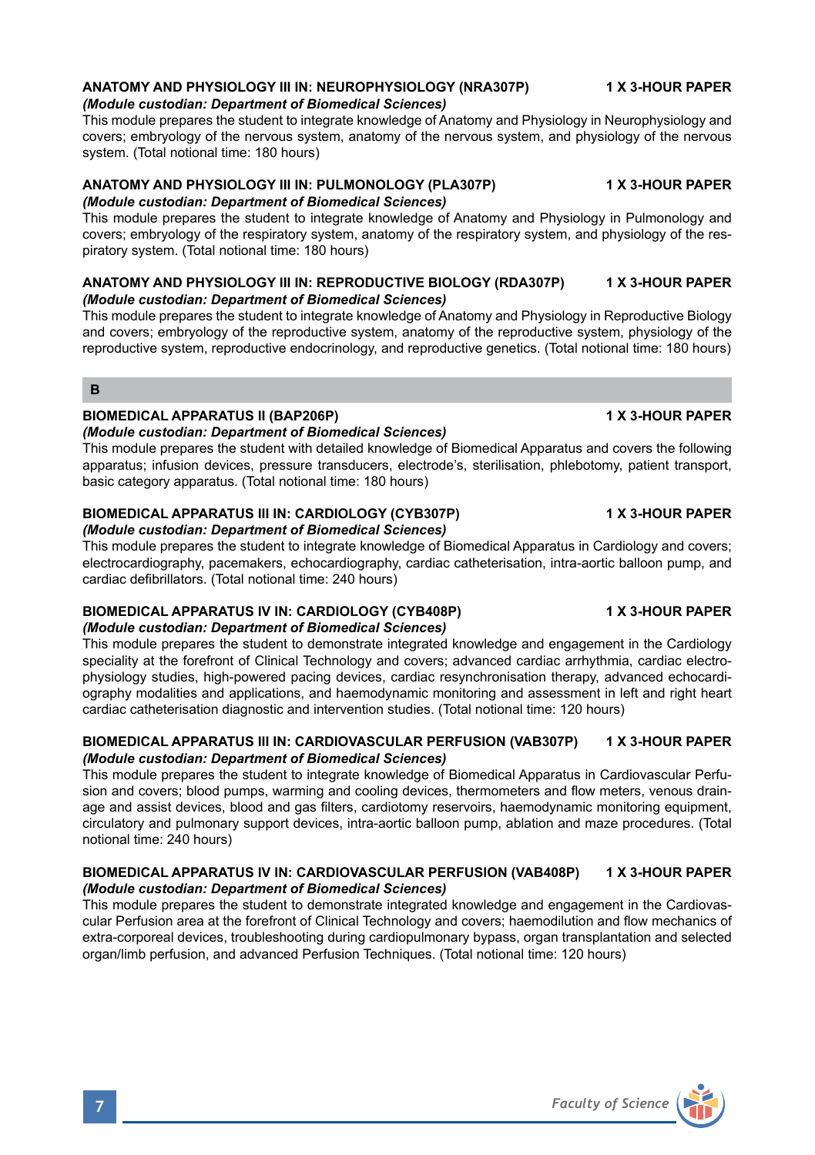# **ANATOMY AND PHYSIOLOGY III IN: NEUROPHYSIOLOGY (NRA307P) 1 X 3-HOUR PAPER**

# *(Module custodian: Department of Biomedical Sciences)*

This module prepares the student to integrate knowledge of Anatomy and Physiology in Neurophysiology and covers; embryology of the nervous system, anatomy of the nervous system, and physiology of the nervous system. (Total notional time: 180 hours)

# **ANATOMY AND PHYSIOLOGY III IN: PULMONOLOGY (PLA307P) 1 X 3-HOUR PAPER** *(Module custodian: Department of Biomedical Sciences)*

This module prepares the student to integrate knowledge of Anatomy and Physiology in Pulmonology and covers; embryology of the respiratory system, anatomy of the respiratory system, and physiology of the respiratory system. (Total notional time: 180 hours)

## **ANATOMY AND PHYSIOLOGY III IN: REPRODUCTIVE BIOLOGY (RDA307P) 1 X 3-HOUR PAPER** *(Module custodian: Department of Biomedical Sciences)*

This module prepares the student to integrate knowledge of Anatomy and Physiology in Reproductive Biology and covers; embryology of the reproductive system, anatomy of the reproductive system, physiology of the reproductive system, reproductive endocrinology, and reproductive genetics. (Total notional time: 180 hours)

# **B**

# **BIOMEDICAL APPARATUS II (BAP206P) 1 X 3-HOUR PAPER**

# *(Module custodian: Department of Biomedical Sciences)*

This module prepares the student with detailed knowledge of Biomedical Apparatus and covers the following apparatus; infusion devices, pressure transducers, electrode's, sterilisation, phlebotomy, patient transport, basic category apparatus. (Total notional time: 180 hours)

# BIOMEDICAL APPARATUS III IN: CARDIOLOGY (CYB307P) **1 A SEPAL 1 A SEPAL APPARATUS**

### *(Module custodian: Department of Biomedical Sciences)*

This module prepares the student to integrate knowledge of Biomedical Apparatus in Cardiology and covers; electrocardiography, pacemakers, echocardiography, cardiac catheterisation, intra-aortic balloon pump, and cardiac defibrillators. (Total notional time: 240 hours)

#### **BIOMEDICAL APPARATUS IV IN: CARDIOLOGY (CYB408P) 1 X 3-HOUR PAPER** *(Module custodian: Department of Biomedical Sciences)*

This module prepares the student to demonstrate integrated knowledge and engagement in the Cardiology speciality at the forefront of Clinical Technology and covers; advanced cardiac arrhythmia, cardiac electrophysiology studies, high-powered pacing devices, cardiac resynchronisation therapy, advanced echocardiography modalities and applications, and haemodynamic monitoring and assessment in left and right heart cardiac catheterisation diagnostic and intervention studies. (Total notional time: 120 hours)

# **BIOMEDICAL APPARATUS III IN: CARDIOVASCULAR PERFUSION (VAB307P) 1 X 3-HOUR PAPER** *(Module custodian: Department of Biomedical Sciences)*

This module prepares the student to integrate knowledge of Biomedical Apparatus in Cardiovascular Perfusion and covers; blood pumps, warming and cooling devices, thermometers and flow meters, venous drainage and assist devices, blood and gas filters, cardiotomy reservoirs, haemodynamic monitoring equipment, circulatory and pulmonary support devices, intra-aortic balloon pump, ablation and maze procedures. (Total notional time: 240 hours)

### **BIOMEDICAL APPARATUS IV IN: CARDIOVASCULAR PERFUSION (VAB408P) 1 X 3-HOUR PAPER** *(Module custodian: Department of Biomedical Sciences)*

This module prepares the student to demonstrate integrated knowledge and engagement in the Cardiovascular Perfusion area at the forefront of Clinical Technology and covers; haemodilution and flow mechanics of extra-corporeal devices, troubleshooting during cardiopulmonary bypass, organ transplantation and selected organ/limb perfusion, and advanced Perfusion Techniques. (Total notional time: 120 hours)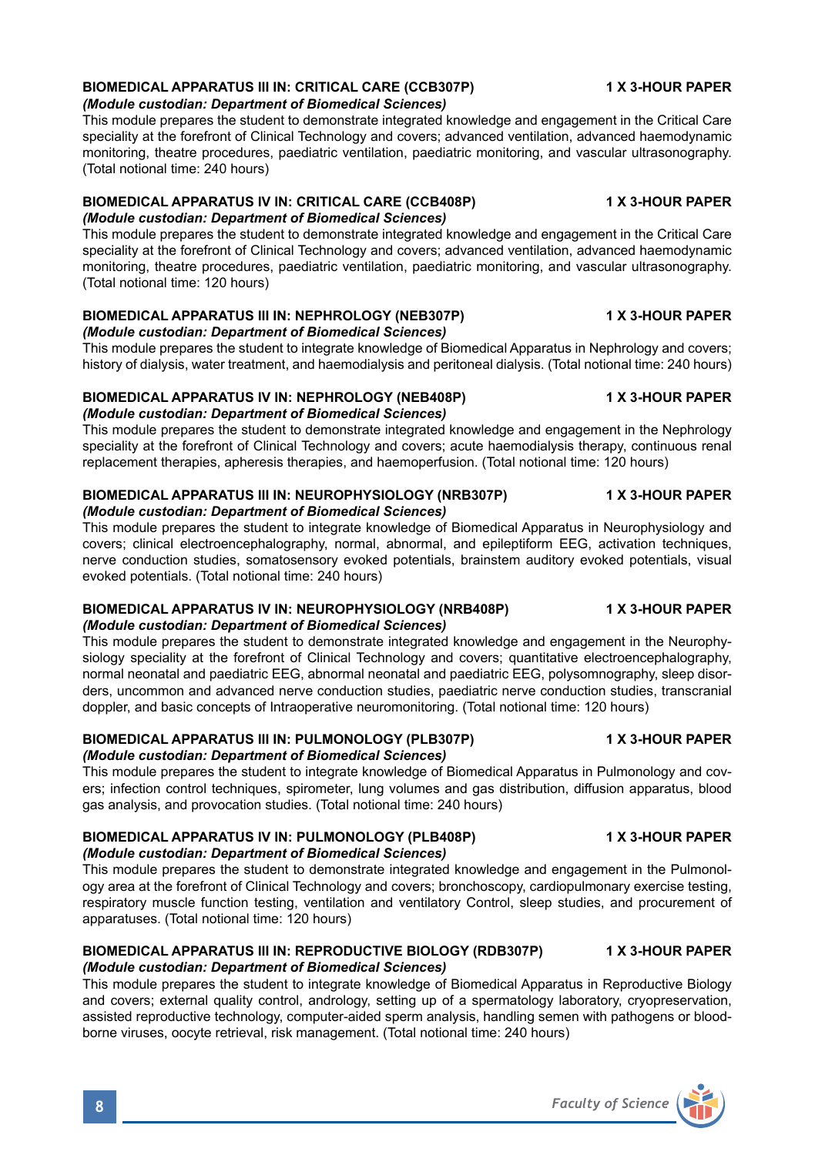# **BIOMEDICAL APPARATUS III IN: CRITICAL CARE (CCB307P) 1 X 3-HOUR PAPER**

# *(Module custodian: Department of Biomedical Sciences)*

This module prepares the student to demonstrate integrated knowledge and engagement in the Critical Care speciality at the forefront of Clinical Technology and covers; advanced ventilation, advanced haemodynamic monitoring, theatre procedures, paediatric ventilation, paediatric monitoring, and vascular ultrasonography. (Total notional time: 240 hours)

#### **BIOMEDICAL APPARATUS IV IN: CRITICAL CARE (CCB408P) 1 X 3-HOUR PAPER** *(Module custodian: Department of Biomedical Sciences)*

This module prepares the student to demonstrate integrated knowledge and engagement in the Critical Care speciality at the forefront of Clinical Technology and covers; advanced ventilation, advanced haemodynamic monitoring, theatre procedures, paediatric ventilation, paediatric monitoring, and vascular ultrasonography. (Total notional time: 120 hours)

# **BIOMEDICAL APPARATUS III IN: NEPHROLOGY (NEB307P) 1 X 3-HOUR PAPER**

# *(Module custodian: Department of Biomedical Sciences)*

This module prepares the student to integrate knowledge of Biomedical Apparatus in Nephrology and covers; history of dialysis, water treatment, and haemodialysis and peritoneal dialysis. (Total notional time: 240 hours)

# **BIOMEDICAL APPARATUS IV IN: NEPHROLOGY (NEB408P) 1 X 3-HOUR PAPER**

# *(Module custodian: Department of Biomedical Sciences)*

This module prepares the student to demonstrate integrated knowledge and engagement in the Nephrology speciality at the forefront of Clinical Technology and covers; acute haemodialysis therapy, continuous renal replacement therapies, apheresis therapies, and haemoperfusion. (Total notional time: 120 hours)

#### **BIOMEDICAL APPARATUS III IN: NEUROPHYSIOLOGY (NRB307P) 1 X 3-HOUR PAPER** *(Module custodian: Department of Biomedical Sciences)*

This module prepares the student to integrate knowledge of Biomedical Apparatus in Neurophysiology and covers; clinical electroencephalography, normal, abnormal, and epileptiform EEG, activation techniques, nerve conduction studies, somatosensory evoked potentials, brainstem auditory evoked potentials, visual evoked potentials. (Total notional time: 240 hours)

## **BIOMEDICAL APPARATUS IV IN: NEUROPHYSIOLOGY (NRB408P) 1 X 3-HOUR PAPER** *(Module custodian: Department of Biomedical Sciences)*

This module prepares the student to demonstrate integrated knowledge and engagement in the Neurophysiology speciality at the forefront of Clinical Technology and covers; quantitative electroencephalography, normal neonatal and paediatric EEG, abnormal neonatal and paediatric EEG, polysomnography, sleep disorders, uncommon and advanced nerve conduction studies, paediatric nerve conduction studies, transcranial doppler, and basic concepts of Intraoperative neuromonitoring. (Total notional time: 120 hours)

#### **BIOMEDICAL APPARATUS III IN: PULMONOLOGY (PLB307P) 1 X 3-HOUR PAPER** *(Module custodian: Department of Biomedical Sciences)*

This module prepares the student to integrate knowledge of Biomedical Apparatus in Pulmonology and covers; infection control techniques, spirometer, lung volumes and gas distribution, diffusion apparatus, blood gas analysis, and provocation studies. (Total notional time: 240 hours)

### **BIOMEDICAL APPARATUS IV IN: PULMONOLOGY (PLB408P) 1 X 3-HOUR PAPER** *(Module custodian: Department of Biomedical Sciences)*

This module prepares the student to demonstrate integrated knowledge and engagement in the Pulmonology area at the forefront of Clinical Technology and covers; bronchoscopy, cardiopulmonary exercise testing, respiratory muscle function testing, ventilation and ventilatory Control, sleep studies, and procurement of apparatuses. (Total notional time: 120 hours)

# **BIOMEDICAL APPARATUS III IN: REPRODUCTIVE BIOLOGY (RDB307P) 1 X 3-HOUR PAPER** *(Module custodian: Department of Biomedical Sciences)*

This module prepares the student to integrate knowledge of Biomedical Apparatus in Reproductive Biology and covers; external quality control, andrology, setting up of a spermatology laboratory, cryopreservation, assisted reproductive technology, computer-aided sperm analysis, handling semen with pathogens or bloodborne viruses, oocyte retrieval, risk management. (Total notional time: 240 hours)

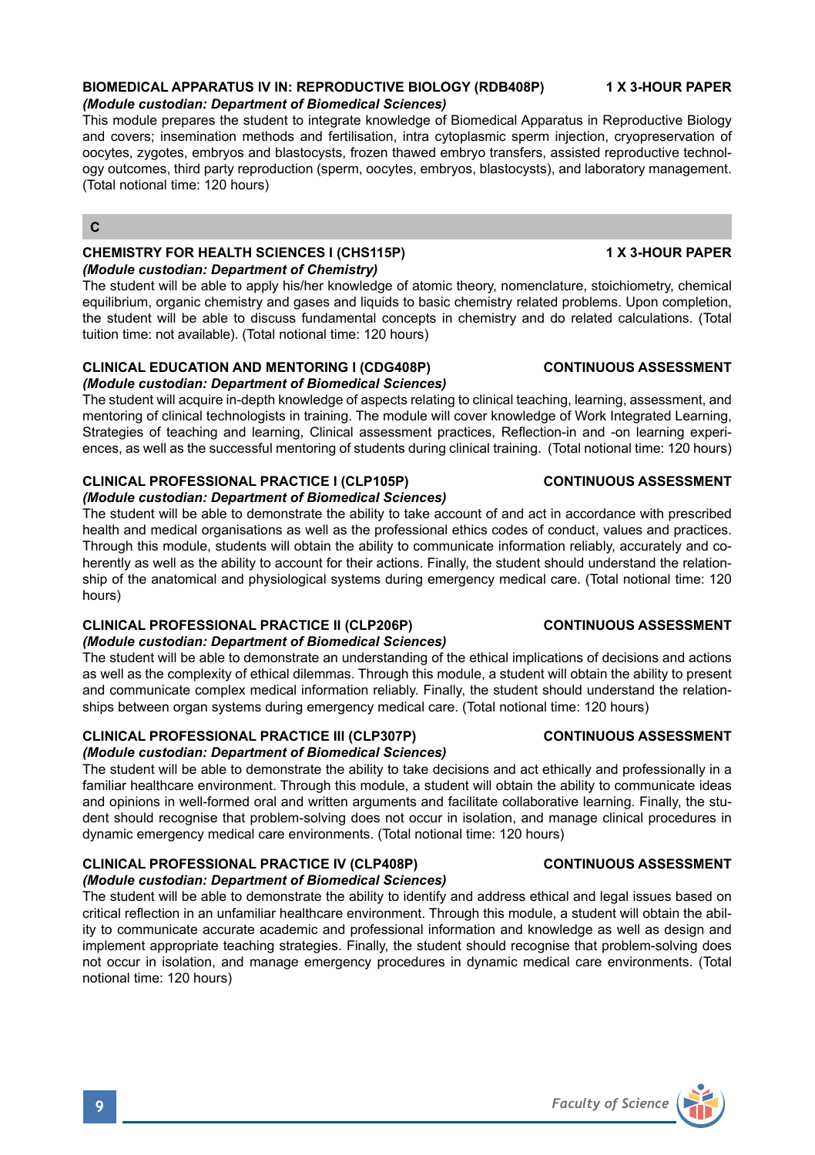# **BIOMEDICAL APPARATUS IV IN: REPRODUCTIVE BIOLOGY (RDB408P) 1 X 3-HOUR PAPER**

### *(Module custodian: Department of Biomedical Sciences)*

This module prepares the student to integrate knowledge of Biomedical Apparatus in Reproductive Biology and covers; insemination methods and fertilisation, intra cytoplasmic sperm injection, cryopreservation of oocytes, zygotes, embryos and blastocysts, frozen thawed embryo transfers, assisted reproductive technology outcomes, third party reproduction (sperm, oocytes, embryos, blastocysts), and laboratory management. (Total notional time: 120 hours)

# **C**

# **CHEMISTRY FOR HEALTH SCIENCES I (CHS115P) 1 X 3-HOUR PAPER** *(Module custodian: Department of Chemistry)*

The student will be able to apply his/her knowledge of atomic theory, nomenclature, stoichiometry, chemical equilibrium, organic chemistry and gases and liquids to basic chemistry related problems. Upon completion, the student will be able to discuss fundamental concepts in chemistry and do related calculations. (Total tuition time: not available). (Total notional time: 120 hours)

### **CLINICAL EDUCATION AND MENTORING I (CDG408P) CONTINUOUS ASSESSMENT** *(Module custodian: Department of Biomedical Sciences)*

The student will acquire in-depth knowledge of aspects relating to clinical teaching, learning, assessment, and mentoring of clinical technologists in training. The module will cover knowledge of Work Integrated Learning, Strategies of teaching and learning, Clinical assessment practices, Reflection-in and -on learning experiences, as well as the successful mentoring of students during clinical training. (Total notional time: 120 hours)

### **CLINICAL PROFESSIONAL PRACTICE I (CLP105P) CONTINUOUS ASSESSMENT** *(Module custodian: Department of Biomedical Sciences)*

The student will be able to demonstrate the ability to take account of and act in accordance with prescribed health and medical organisations as well as the professional ethics codes of conduct, values and practices. Through this module, students will obtain the ability to communicate information reliably, accurately and coherently as well as the ability to account for their actions. Finally, the student should understand the relationship of the anatomical and physiological systems during emergency medical care. (Total notional time: 120 hours)

### **CLINICAL PROFESSIONAL PRACTICE II (CLP206P) CONTINUOUS ASSESSMENT** *(Module custodian: Department of Biomedical Sciences)*

The student will be able to demonstrate an understanding of the ethical implications of decisions and actions as well as the complexity of ethical dilemmas. Through this module, a student will obtain the ability to present and communicate complex medical information reliably. Finally, the student should understand the relationships between organ systems during emergency medical care. (Total notional time: 120 hours)

# **CLINICAL PROFESSIONAL PRACTICE III (CLP307P) CONTINUOUS ASSESSMENT**

# *(Module custodian: Department of Biomedical Sciences)*

The student will be able to demonstrate the ability to take decisions and act ethically and professionally in a familiar healthcare environment. Through this module, a student will obtain the ability to communicate ideas and opinions in well-formed oral and written arguments and facilitate collaborative learning. Finally, the student should recognise that problem-solving does not occur in isolation, and manage clinical procedures in dynamic emergency medical care environments. (Total notional time: 120 hours)

# **CLINICAL PROFESSIONAL PRACTICE IV (CLP408P) CONTINUOUS ASSESSMENT**

*(Module custodian: Department of Biomedical Sciences)* The student will be able to demonstrate the ability to identify and address ethical and legal issues based on critical reflection in an unfamiliar healthcare environment. Through this module, a student will obtain the ability to communicate accurate academic and professional information and knowledge as well as design and implement appropriate teaching strategies. Finally, the student should recognise that problem-solving does not occur in isolation, and manage emergency procedures in dynamic medical care environments. (Total notional time: 120 hours)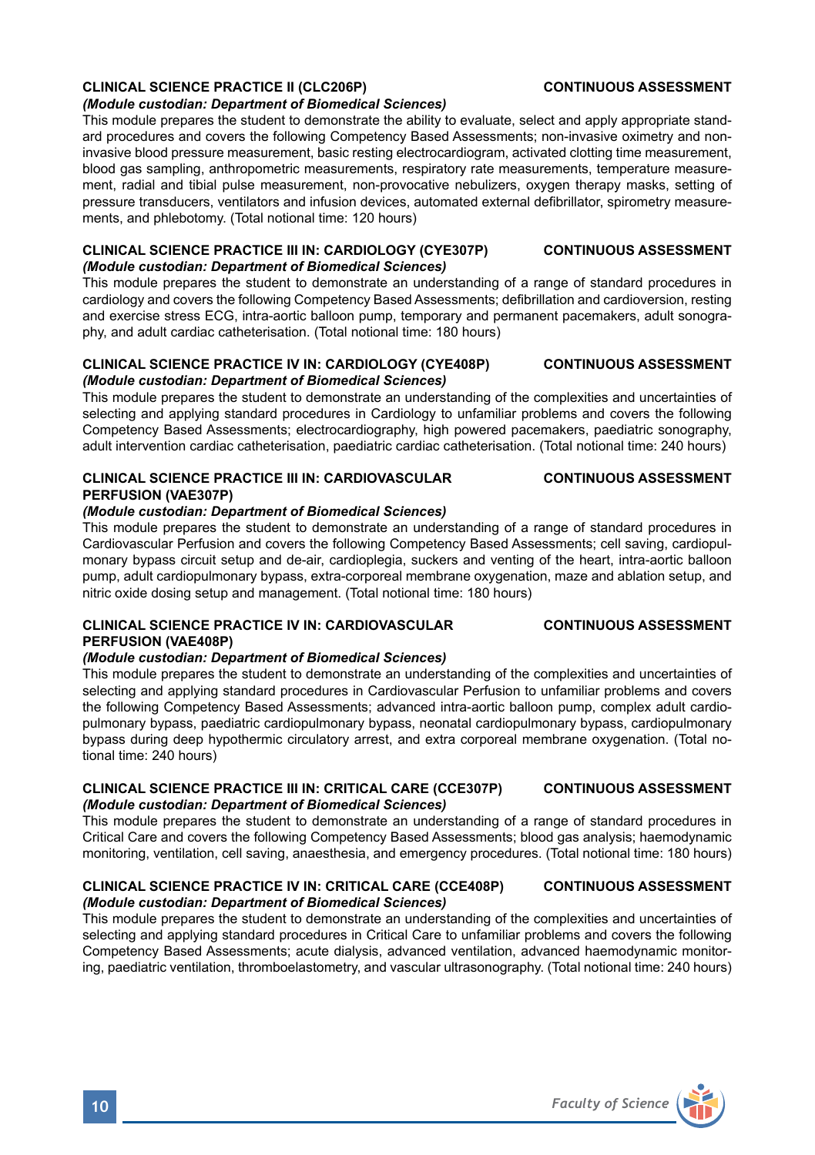# **CLINICAL SCIENCE PRACTICE II (CLC206P) CONTINUOUS ASSESSMENT**

### *(Module custodian: Department of Biomedical Sciences)*

This module prepares the student to demonstrate the ability to evaluate, select and apply appropriate standard procedures and covers the following Competency Based Assessments; non-invasive oximetry and noninvasive blood pressure measurement, basic resting electrocardiogram, activated clotting time measurement, blood gas sampling, anthropometric measurements, respiratory rate measurements, temperature measurement, radial and tibial pulse measurement, non-provocative nebulizers, oxygen therapy masks, setting of pressure transducers, ventilators and infusion devices, automated external defibrillator, spirometry measurements, and phlebotomy. (Total notional time: 120 hours)

# **CLINICAL SCIENCE PRACTICE III IN: CARDIOLOGY (CYE307P) CONTINUOUS ASSESSMENT** *(Module custodian: Department of Biomedical Sciences)*

This module prepares the student to demonstrate an understanding of a range of standard procedures in cardiology and covers the following Competency Based Assessments; defibrillation and cardioversion, resting and exercise stress ECG, intra-aortic balloon pump, temporary and permanent pacemakers, adult sonography, and adult cardiac catheterisation. (Total notional time: 180 hours)

# **CLINICAL SCIENCE PRACTICE IV IN: CARDIOLOGY (CYE408P) CONTINUOUS ASSESSMENT** *(Module custodian: Department of Biomedical Sciences)*

This module prepares the student to demonstrate an understanding of the complexities and uncertainties of selecting and applying standard procedures in Cardiology to unfamiliar problems and covers the following Competency Based Assessments; electrocardiography, high powered pacemakers, paediatric sonography, adult intervention cardiac catheterisation, paediatric cardiac catheterisation. (Total notional time: 240 hours)

# **CLINICAL SCIENCE PRACTICE III IN: CARDIOVASCULAR CONTINUOUS ASSESSMENT PERFUSION (VAE307P)**

# *(Module custodian: Department of Biomedical Sciences)*

This module prepares the student to demonstrate an understanding of a range of standard procedures in Cardiovascular Perfusion and covers the following Competency Based Assessments; cell saving, cardiopulmonary bypass circuit setup and de-air, cardioplegia, suckers and venting of the heart, intra-aortic balloon pump, adult cardiopulmonary bypass, extra-corporeal membrane oxygenation, maze and ablation setup, and nitric oxide dosing setup and management. (Total notional time: 180 hours)

# **CLINICAL SCIENCE PRACTICE IV IN: CARDIOVASCULAR CONTINUOUS ASSESSMENT PERFUSION (VAE408P)**

# *(Module custodian: Department of Biomedical Sciences)*

This module prepares the student to demonstrate an understanding of the complexities and uncertainties of selecting and applying standard procedures in Cardiovascular Perfusion to unfamiliar problems and covers the following Competency Based Assessments; advanced intra-aortic balloon pump, complex adult cardiopulmonary bypass, paediatric cardiopulmonary bypass, neonatal cardiopulmonary bypass, cardiopulmonary bypass during deep hypothermic circulatory arrest, and extra corporeal membrane oxygenation. (Total notional time: 240 hours)

# **CLINICAL SCIENCE PRACTICE III IN: CRITICAL CARE (CCE307P) CONTINUOUS ASSESSMENT** *(Module custodian: Department of Biomedical Sciences)*

This module prepares the student to demonstrate an understanding of a range of standard procedures in Critical Care and covers the following Competency Based Assessments; blood gas analysis; haemodynamic monitoring, ventilation, cell saving, anaesthesia, and emergency procedures. (Total notional time: 180 hours)

# **CLINICAL SCIENCE PRACTICE IV IN: CRITICAL CARE (CCE408P) CONTINUOUS ASSESSMENT** *(Module custodian: Department of Biomedical Sciences)*

This module prepares the student to demonstrate an understanding of the complexities and uncertainties of selecting and applying standard procedures in Critical Care to unfamiliar problems and covers the following Competency Based Assessments; acute dialysis, advanced ventilation, advanced haemodynamic monitoring, paediatric ventilation, thromboelastometry, and vascular ultrasonography. (Total notional time: 240 hours)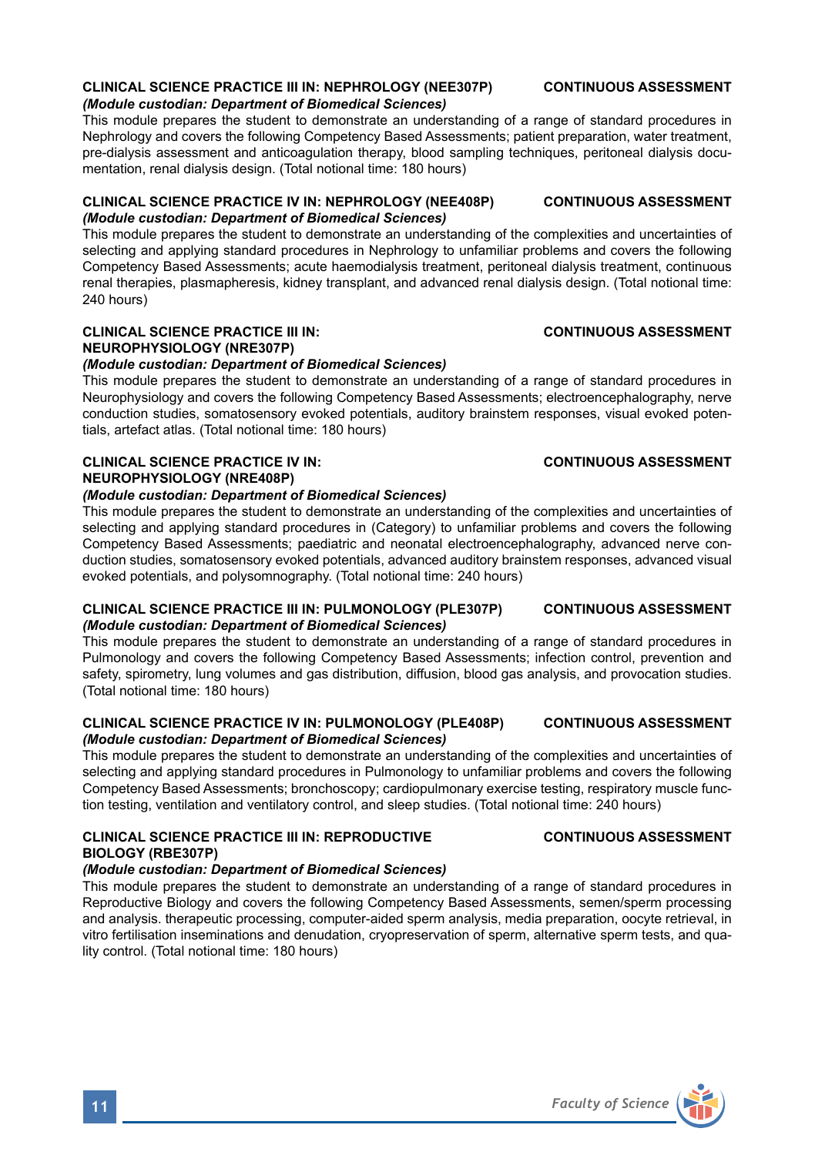# **CLINICAL SCIENCE PRACTICE III IN: NEPHROLOGY (NEE307P) CONTINUOUS ASSESSMENT**

*(Module custodian: Department of Biomedical Sciences)*

This module prepares the student to demonstrate an understanding of a range of standard procedures in Nephrology and covers the following Competency Based Assessments; patient preparation, water treatment, pre-dialysis assessment and anticoagulation therapy, blood sampling techniques, peritoneal dialysis documentation, renal dialysis design. (Total notional time: 180 hours)

### **CLINICAL SCIENCE PRACTICE IV IN: NEPHROLOGY (NEE408P) CONTINUOUS ASSESSMENT** *(Module custodian: Department of Biomedical Sciences)*

This module prepares the student to demonstrate an understanding of the complexities and uncertainties of selecting and applying standard procedures in Nephrology to unfamiliar problems and covers the following Competency Based Assessments; acute haemodialysis treatment, peritoneal dialysis treatment, continuous renal therapies, plasmapheresis, kidney transplant, and advanced renal dialysis design. (Total notional time: 240 hours)

# **CLINICAL SCIENCE PRACTICE III IN: CONTINUOUS ASSESSMENT NEUROPHYSIOLOGY (NRE307P)**

# *(Module custodian: Department of Biomedical Sciences)*

This module prepares the student to demonstrate an understanding of a range of standard procedures in Neurophysiology and covers the following Competency Based Assessments; electroencephalography, nerve conduction studies, somatosensory evoked potentials, auditory brainstem responses, visual evoked potentials, artefact atlas. (Total notional time: 180 hours)

# **CLINICAL SCIENCE PRACTICE IV IN: CONTINUOUS ASSESSMENT NEUROPHYSIOLOGY (NRE408P)**

## *(Module custodian: Department of Biomedical Sciences)*

This module prepares the student to demonstrate an understanding of the complexities and uncertainties of selecting and applying standard procedures in (Category) to unfamiliar problems and covers the following Competency Based Assessments; paediatric and neonatal electroencephalography, advanced nerve conduction studies, somatosensory evoked potentials, advanced auditory brainstem responses, advanced visual evoked potentials, and polysomnography. (Total notional time: 240 hours)

### **CLINICAL SCIENCE PRACTICE III IN: PULMONOLOGY (PLE307P) CONTINUOUS ASSESSMENT** *(Module custodian: Department of Biomedical Sciences)*

This module prepares the student to demonstrate an understanding of a range of standard procedures in Pulmonology and covers the following Competency Based Assessments; infection control, prevention and safety, spirometry, lung volumes and gas distribution, diffusion, blood gas analysis, and provocation studies. (Total notional time: 180 hours)

### **CLINICAL SCIENCE PRACTICE IV IN: PULMONOLOGY (PLE408P) CONTINUOUS ASSESSMENT** *(Module custodian: Department of Biomedical Sciences)*

This module prepares the student to demonstrate an understanding of the complexities and uncertainties of selecting and applying standard procedures in Pulmonology to unfamiliar problems and covers the following Competency Based Assessments; bronchoscopy; cardiopulmonary exercise testing, respiratory muscle function testing, ventilation and ventilatory control, and sleep studies. (Total notional time: 240 hours)

# **CLINICAL SCIENCE PRACTICE III IN: REPRODUCTIVE CONTINUOUS ASSESSMENT BIOLOGY (RBE307P)**

# *(Module custodian: Department of Biomedical Sciences)*

This module prepares the student to demonstrate an understanding of a range of standard procedures in Reproductive Biology and covers the following Competency Based Assessments, semen/sperm processing and analysis. therapeutic processing, computer-aided sperm analysis, media preparation, oocyte retrieval, in vitro fertilisation inseminations and denudation, cryopreservation of sperm, alternative sperm tests, and quality control. (Total notional time: 180 hours)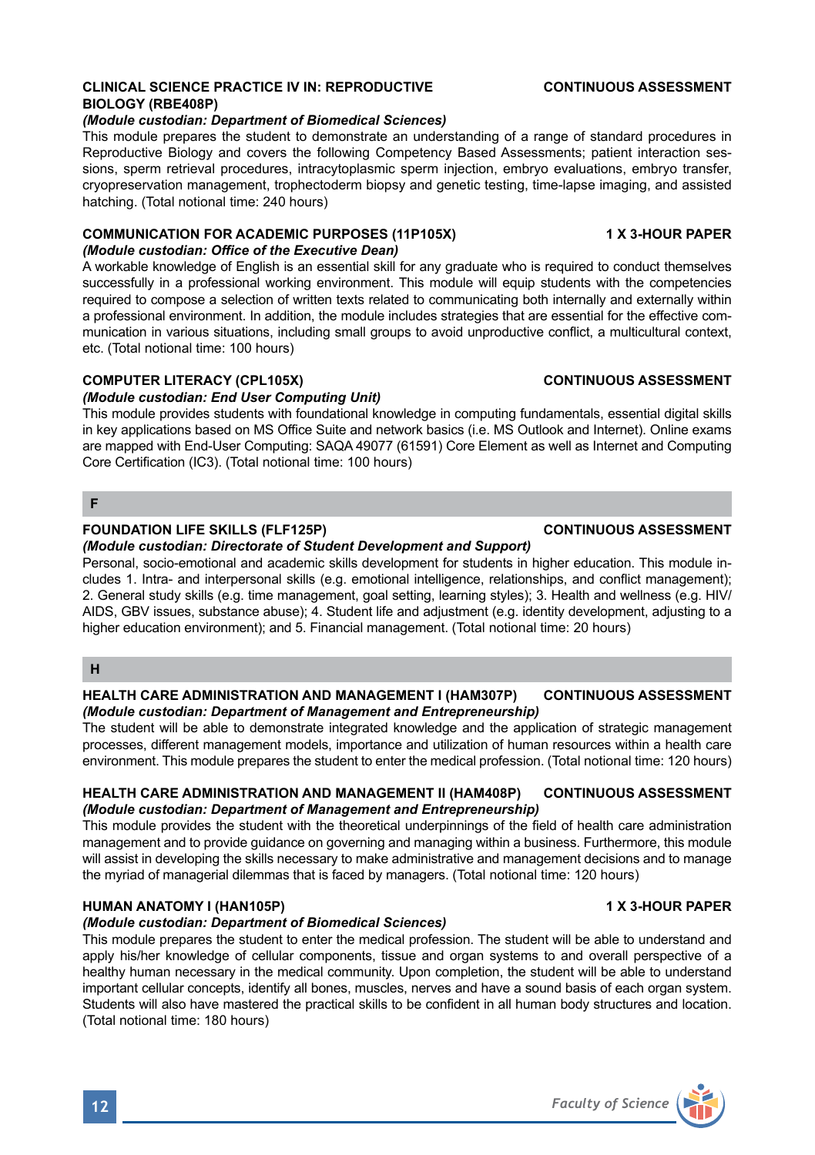# **CLINICAL SCIENCE PRACTICE IV IN: REPRODUCTIVE CONTINUOUS ASSESSMENT BIOLOGY (RBE408P)**

### *(Module custodian: Department of Biomedical Sciences)*

This module prepares the student to demonstrate an understanding of a range of standard procedures in Reproductive Biology and covers the following Competency Based Assessments; patient interaction sessions, sperm retrieval procedures, intracytoplasmic sperm injection, embryo evaluations, embryo transfer, cryopreservation management, trophectoderm biopsy and genetic testing, time-lapse imaging, and assisted hatching. (Total notional time: 240 hours)

# **COMMUNICATION FOR ACADEMIC PURPOSES (11P105X) 1 X 3-HOUR PAPER**

# *(Module custodian: Office of the Executive Dean)*

A workable knowledge of English is an essential skill for any graduate who is required to conduct themselves successfully in a professional working environment. This module will equip students with the competencies required to compose a selection of written texts related to communicating both internally and externally within a professional environment. In addition, the module includes strategies that are essential for the effective communication in various situations, including small groups to avoid unproductive conflict, a multicultural context, etc. (Total notional time: 100 hours)

### **COMPUTER LITERACY (CPL105X)** CONTINUOUS ASSESSMENT

# *(Module custodian: End User Computing Unit)*

This module provides students with foundational knowledge in computing fundamentals, essential digital skills in key applications based on MS Office Suite and network basics (i.e. MS Outlook and Internet). Online exams are mapped with End-User Computing: SAQA 49077 (61591) Core Element as well as Internet and Computing Core Certification (IC3). (Total notional time: 100 hours)

# **F**

# **FOUNDATION LIFE SKILLS (FLF125P) CONTINUOUS ASSESSMENT**

### *(Module custodian: Directorate of Student Development and Support)*

Personal, socio-emotional and academic skills development for students in higher education. This module includes 1. Intra- and interpersonal skills (e.g. emotional intelligence, relationships, and conflict management); 2. General study skills (e.g. time management, goal setting, learning styles); 3. Health and wellness (e.g. HIV/ AIDS, GBV issues, substance abuse); 4. Student life and adjustment (e.g. identity development, adjusting to a higher education environment); and 5. Financial management. (Total notional time: 20 hours)

# **H**

# **HEALTH CARE ADMINISTRATION AND MANAGEMENT I (HAM307P) CONTINUOUS ASSESSMENT** *(Module custodian: Department of Management and Entrepreneurship)*

The student will be able to demonstrate integrated knowledge and the application of strategic management processes, different management models, importance and utilization of human resources within a health care environment. This module prepares the student to enter the medical profession. (Total notional time: 120 hours)

### **HEALTH CARE ADMINISTRATION AND MANAGEMENT II (HAM408P) CONTINUOUS ASSESSMENT** *(Module custodian: Department of Management and Entrepreneurship)*

This module provides the student with the theoretical underpinnings of the field of health care administration management and to provide guidance on governing and managing within a business. Furthermore, this module will assist in developing the skills necessary to make administrative and management decisions and to manage the myriad of managerial dilemmas that is faced by managers. (Total notional time: 120 hours)

# **HUMAN ANATOMY I (HAN105P) 1 X 3-HOUR PAPER**

### *(Module custodian: Department of Biomedical Sciences)*

This module prepares the student to enter the medical profession. The student will be able to understand and apply his/her knowledge of cellular components, tissue and organ systems to and overall perspective of a healthy human necessary in the medical community. Upon completion, the student will be able to understand important cellular concepts, identify all bones, muscles, nerves and have a sound basis of each organ system. Students will also have mastered the practical skills to be confident in all human body structures and location. (Total notional time: 180 hours)



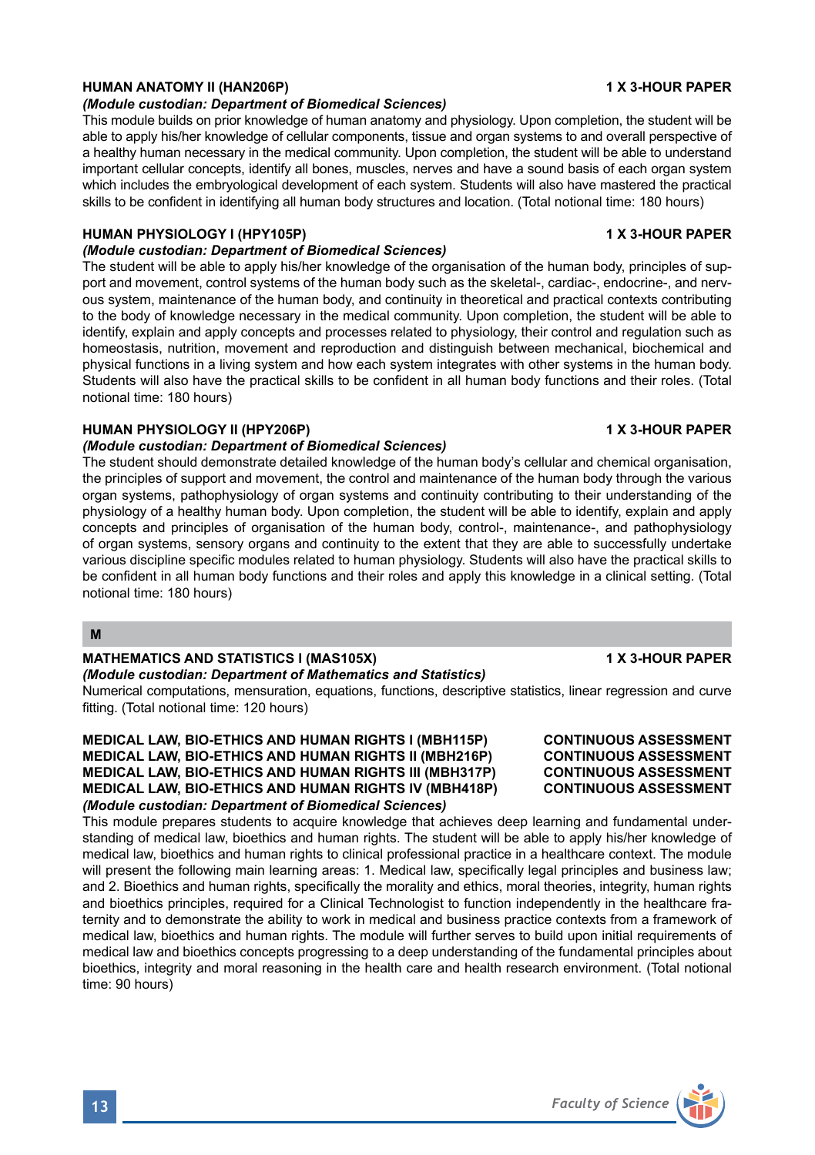# **HUMAN ANATOMY II (HAN206P) 1 X 3-HOUR PAPER**

#### *(Module custodian: Department of Biomedical Sciences)*

This module builds on prior knowledge of human anatomy and physiology. Upon completion, the student will be able to apply his/her knowledge of cellular components, tissue and organ systems to and overall perspective of a healthy human necessary in the medical community. Upon completion, the student will be able to understand important cellular concepts, identify all bones, muscles, nerves and have a sound basis of each organ system which includes the embryological development of each system. Students will also have mastered the practical skills to be confident in identifying all human body structures and location. (Total notional time: 180 hours)

### **HUMAN PHYSIOLOGY I (HPY105P) 1 X 3-HOUR PAPER**

# *(Module custodian: Department of Biomedical Sciences)*

The student will be able to apply his/her knowledge of the organisation of the human body, principles of support and movement, control systems of the human body such as the skeletal-, cardiac-, endocrine-, and nervous system, maintenance of the human body, and continuity in theoretical and practical contexts contributing to the body of knowledge necessary in the medical community. Upon completion, the student will be able to identify, explain and apply concepts and processes related to physiology, their control and regulation such as homeostasis, nutrition, movement and reproduction and distinguish between mechanical, biochemical and physical functions in a living system and how each system integrates with other systems in the human body. Students will also have the practical skills to be confident in all human body functions and their roles. (Total notional time: 180 hours)

### **HUMAN PHYSIOLOGY II (HPY206P)** 1 X 3-HOUR PAPER

### *(Module custodian: Department of Biomedical Sciences)*

The student should demonstrate detailed knowledge of the human body's cellular and chemical organisation, the principles of support and movement, the control and maintenance of the human body through the various organ systems, pathophysiology of organ systems and continuity contributing to their understanding of the physiology of a healthy human body. Upon completion, the student will be able to identify, explain and apply concepts and principles of organisation of the human body, control-, maintenance-, and pathophysiology of organ systems, sensory organs and continuity to the extent that they are able to successfully undertake various discipline specific modules related to human physiology. Students will also have the practical skills to be confident in all human body functions and their roles and apply this knowledge in a clinical setting. (Total notional time: 180 hours)

# **M**

# **MATHEMATICS AND STATISTICS I (MAS105X)** 1 X 3-HOUR PAPER

#### *(Module custodian: Department of Mathematics and Statistics)*

Numerical computations, mensuration, equations, functions, descriptive statistics, linear regression and curve fitting. (Total notional time: 120 hours)

### **MEDICAL LAW, BIO-ETHICS AND HUMAN RIGHTS I (MBH115P) CONTINUOUS ASSESSMENT MEDICAL LAW, BIO-ETHICS AND HUMAN RIGHTS II (MBH216P) CONTINUOUS ASSESSMENT MEDICAL LAW, BIO-ETHICS AND HUMAN RIGHTS III (MBH317P) CONTINUOUS ASSESSMENT MEDICAL LAW, BIO-ETHICS AND HUMAN RIGHTS IV (MBH418P)** *(Module custodian: Department of Biomedical Sciences)*

This module prepares students to acquire knowledge that achieves deep learning and fundamental understanding of medical law, bioethics and human rights. The student will be able to apply his/her knowledge of medical law, bioethics and human rights to clinical professional practice in a healthcare context. The module will present the following main learning areas: 1. Medical law, specifically legal principles and business law; and 2. Bioethics and human rights, specifically the morality and ethics, moral theories, integrity, human rights and bioethics principles, required for a Clinical Technologist to function independently in the healthcare fraternity and to demonstrate the ability to work in medical and business practice contexts from a framework of medical law, bioethics and human rights. The module will further serves to build upon initial requirements of medical law and bioethics concepts progressing to a deep understanding of the fundamental principles about bioethics, integrity and moral reasoning in the health care and health research environment. (Total notional time: 90 hours)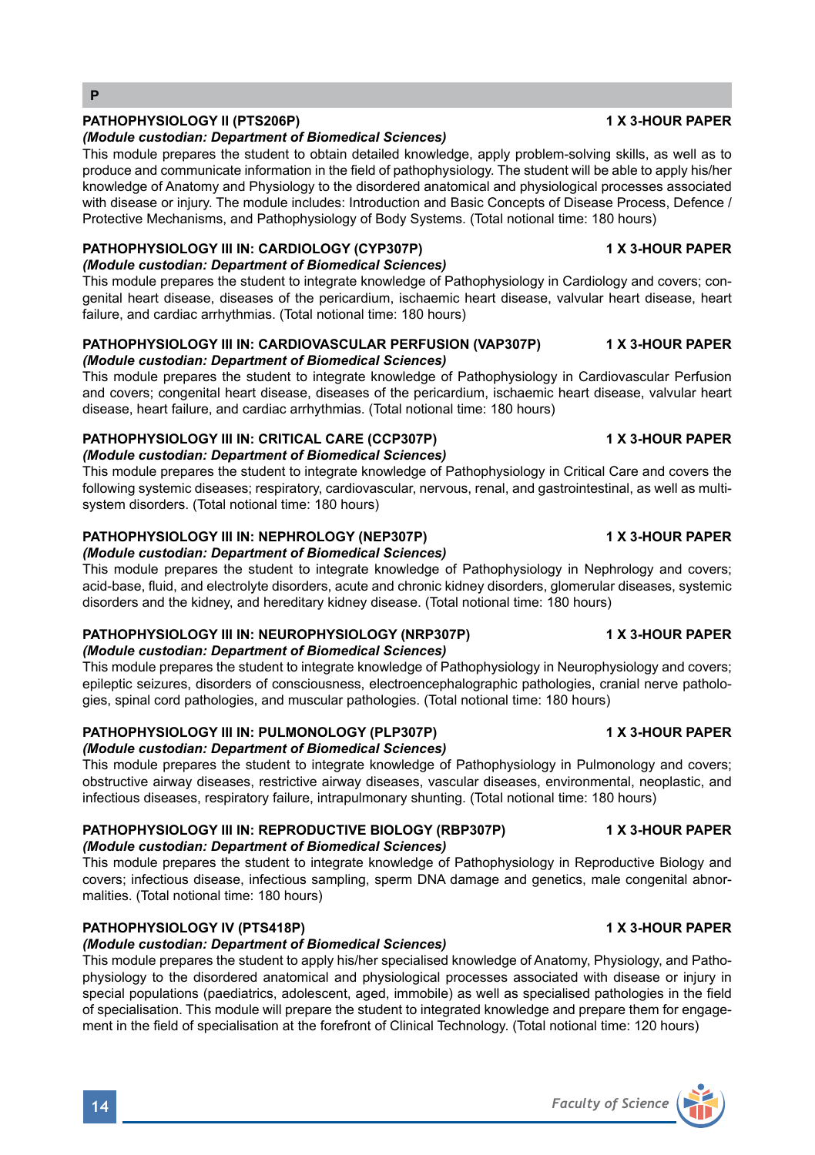# **PATHOPHYSIOLOGY II (PTS206P) 1 X 3-HOUR PAPER**

### *(Module custodian: Department of Biomedical Sciences)*

This module prepares the student to obtain detailed knowledge, apply problem-solving skills, as well as to produce and communicate information in the field of pathophysiology. The student will be able to apply his/her knowledge of Anatomy and Physiology to the disordered anatomical and physiological processes associated with disease or injury. The module includes: Introduction and Basic Concepts of Disease Process, Defence / Protective Mechanisms, and Pathophysiology of Body Systems. (Total notional time: 180 hours)

# **PATHOPHYSIOLOGY III IN: CARDIOLOGY (CYP307P) 1 X 3-HOUR PAPER**

# *(Module custodian: Department of Biomedical Sciences)*

This module prepares the student to integrate knowledge of Pathophysiology in Cardiology and covers; congenital heart disease, diseases of the pericardium, ischaemic heart disease, valvular heart disease, heart failure, and cardiac arrhythmias. (Total notional time: 180 hours)

#### **PATHOPHYSIOLOGY III IN: CARDIOVASCULAR PERFUSION (VAP307P) 1 X 3-HOUR PAPER** *(Module custodian: Department of Biomedical Sciences)*

This module prepares the student to integrate knowledge of Pathophysiology in Cardiovascular Perfusion and covers; congenital heart disease, diseases of the pericardium, ischaemic heart disease, valvular heart disease, heart failure, and cardiac arrhythmias. (Total notional time: 180 hours)

#### **PATHOPHYSIOLOGY III IN: CRITICAL CARE (CCP307P) 4 X 3-HOUR PAPER** *(Module custodian: Department of Biomedical Sciences)*

This module prepares the student to integrate knowledge of Pathophysiology in Critical Care and covers the following systemic diseases; respiratory, cardiovascular, nervous, renal, and gastrointestinal, as well as multisystem disorders. (Total notional time: 180 hours)

# **PATHOPHYSIOLOGY III IN: NEPHROLOGY (NEP307P) 1 X 3-HOUR PAPER**

### *(Module custodian: Department of Biomedical Sciences)*

This module prepares the student to integrate knowledge of Pathophysiology in Nephrology and covers; acid-base, fluid, and electrolyte disorders, acute and chronic kidney disorders, glomerular diseases, systemic disorders and the kidney, and hereditary kidney disease. (Total notional time: 180 hours)

#### **PATHOPHYSIOLOGY III IN: NEUROPHYSIOLOGY (NRP307P) 4 X 3-HOUR PAPER** *(Module custodian: Department of Biomedical Sciences)*

This module prepares the student to integrate knowledge of Pathophysiology in Neurophysiology and covers; epileptic seizures, disorders of consciousness, electroencephalographic pathologies, cranial nerve pathologies, spinal cord pathologies, and muscular pathologies. (Total notional time: 180 hours)

# **PATHOPHYSIOLOGY III IN: PULMONOLOGY (PLP307P) 1 X 3-HOUR PAPER**

# *(Module custodian: Department of Biomedical Sciences)*

This module prepares the student to integrate knowledge of Pathophysiology in Pulmonology and covers; obstructive airway diseases, restrictive airway diseases, vascular diseases, environmental, neoplastic, and infectious diseases, respiratory failure, intrapulmonary shunting. (Total notional time: 180 hours)

# **PATHOPHYSIOLOGY III IN: REPRODUCTIVE BIOLOGY (RBP307P) 4 X 3-HOUR PAPER**

# *(Module custodian: Department of Biomedical Sciences)*

This module prepares the student to integrate knowledge of Pathophysiology in Reproductive Biology and covers; infectious disease, infectious sampling, sperm DNA damage and genetics, male congenital abnormalities. (Total notional time: 180 hours)

# **PATHOPHYSIOLOGY IV (PTS418P) 1 X 3-HOUR PAPER**

# *(Module custodian: Department of Biomedical Sciences)*

This module prepares the student to apply his/her specialised knowledge of Anatomy, Physiology, and Pathophysiology to the disordered anatomical and physiological processes associated with disease or injury in special populations (paediatrics, adolescent, aged, immobile) as well as specialised pathologies in the field of specialisation. This module will prepare the student to integrated knowledge and prepare them for engagement in the field of specialisation at the forefront of Clinical Technology. (Total notional time: 120 hours)

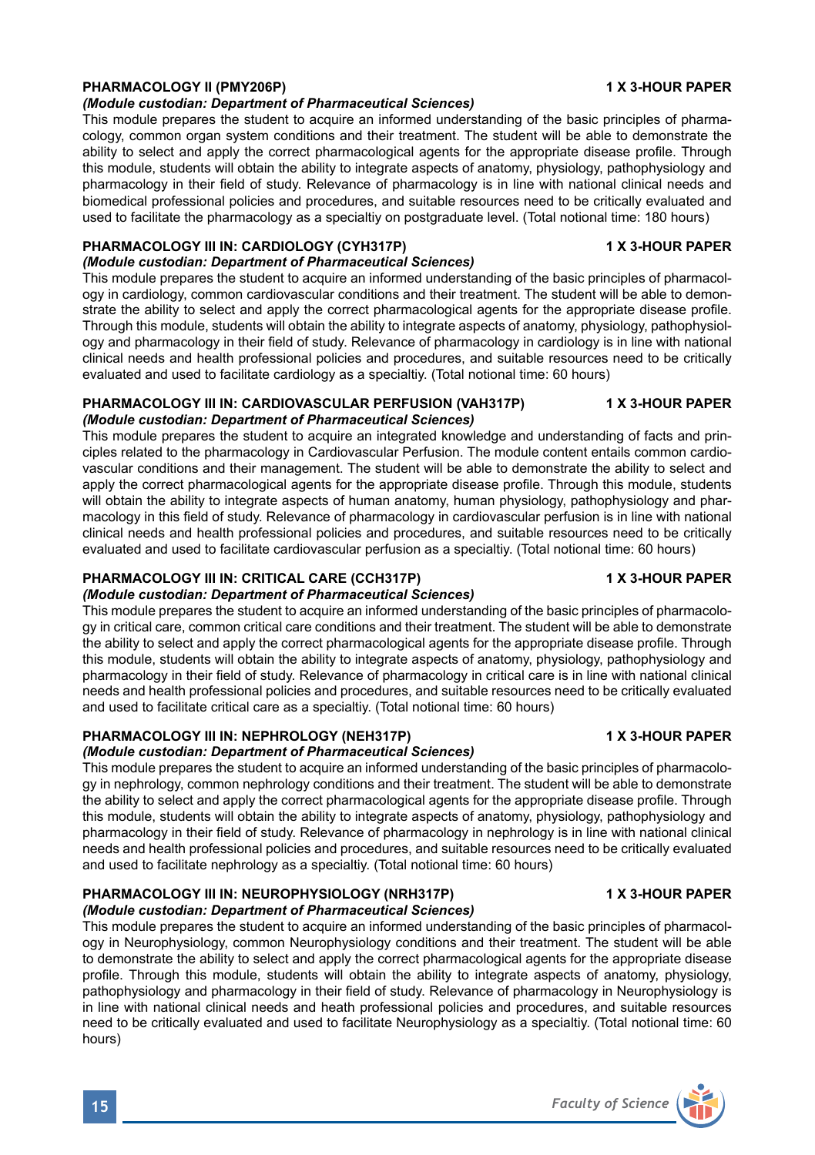# PHARMACOLOGY II (PMY206P) **1 X 3-HOUR PAPER**

### *(Module custodian: Department of Pharmaceutical Sciences)*

This module prepares the student to acquire an informed understanding of the basic principles of pharmacology, common organ system conditions and their treatment. The student will be able to demonstrate the ability to select and apply the correct pharmacological agents for the appropriate disease profile. Through this module, students will obtain the ability to integrate aspects of anatomy, physiology, pathophysiology and pharmacology in their field of study. Relevance of pharmacology is in line with national clinical needs and biomedical professional policies and procedures, and suitable resources need to be critically evaluated and used to facilitate the pharmacology as a specialtiy on postgraduate level. (Total notional time: 180 hours)

#### PHARMACOLOGY III IN: CARDIOLOGY (CYH317P) 1 1 X 3-HOUR PAPER *(Module custodian: Department of Pharmaceutical Sciences)*

This module prepares the student to acquire an informed understanding of the basic principles of pharmacology in cardiology, common cardiovascular conditions and their treatment. The student will be able to demonstrate the ability to select and apply the correct pharmacological agents for the appropriate disease profile. Through this module, students will obtain the ability to integrate aspects of anatomy, physiology, pathophysiology and pharmacology in their field of study. Relevance of pharmacology in cardiology is in line with national clinical needs and health professional policies and procedures, and suitable resources need to be critically evaluated and used to facilitate cardiology as a specialtiy. (Total notional time: 60 hours)

### **PHARMACOLOGY III IN: CARDIOVASCULAR PERFUSION (VAH317P) 4 X 3-HOUR PAPER** *(Module custodian: Department of Pharmaceutical Sciences)*

This module prepares the student to acquire an integrated knowledge and understanding of facts and principles related to the pharmacology in Cardiovascular Perfusion. The module content entails common cardiovascular conditions and their management. The student will be able to demonstrate the ability to select and apply the correct pharmacological agents for the appropriate disease profile. Through this module, students will obtain the ability to integrate aspects of human anatomy, human physiology, pathophysiology and pharmacology in this field of study. Relevance of pharmacology in cardiovascular perfusion is in line with national clinical needs and health professional policies and procedures, and suitable resources need to be critically evaluated and used to facilitate cardiovascular perfusion as a specialtiy. (Total notional time: 60 hours)

# **PHARMACOLOGY III IN: CRITICAL CARE (CCH317P) 1 X 3-HOUR PAPER**

# *(Module custodian: Department of Pharmaceutical Sciences)*

This module prepares the student to acquire an informed understanding of the basic principles of pharmacology in critical care, common critical care conditions and their treatment. The student will be able to demonstrate the ability to select and apply the correct pharmacological agents for the appropriate disease profile. Through this module, students will obtain the ability to integrate aspects of anatomy, physiology, pathophysiology and pharmacology in their field of study. Relevance of pharmacology in critical care is in line with national clinical needs and health professional policies and procedures, and suitable resources need to be critically evaluated and used to facilitate critical care as a specialtiy. (Total notional time: 60 hours)

# **PHARMACOLOGY III IN: NEPHROLOGY (NEH317P) 1 X 3-HOUR PAPER**

# *(Module custodian: Department of Pharmaceutical Sciences)*

This module prepares the student to acquire an informed understanding of the basic principles of pharmacology in nephrology, common nephrology conditions and their treatment. The student will be able to demonstrate the ability to select and apply the correct pharmacological agents for the appropriate disease profile. Through this module, students will obtain the ability to integrate aspects of anatomy, physiology, pathophysiology and pharmacology in their field of study. Relevance of pharmacology in nephrology is in line with national clinical needs and health professional policies and procedures, and suitable resources need to be critically evaluated and used to facilitate nephrology as a specialtiy. (Total notional time: 60 hours)

# **PHARMACOLOGY III IN: NEUROPHYSIOLOGY (NRH317P) 4 X 3-HOUR PAPER**

*(Module custodian: Department of Pharmaceutical Sciences)* This module prepares the student to acquire an informed understanding of the basic principles of pharmacology in Neurophysiology, common Neurophysiology conditions and their treatment. The student will be able to demonstrate the ability to select and apply the correct pharmacological agents for the appropriate disease profile. Through this module, students will obtain the ability to integrate aspects of anatomy, physiology, pathophysiology and pharmacology in their field of study. Relevance of pharmacology in Neurophysiology is in line with national clinical needs and heath professional policies and procedures, and suitable resources need to be critically evaluated and used to facilitate Neurophysiology as a specialtiy. (Total notional time: 60 hours)

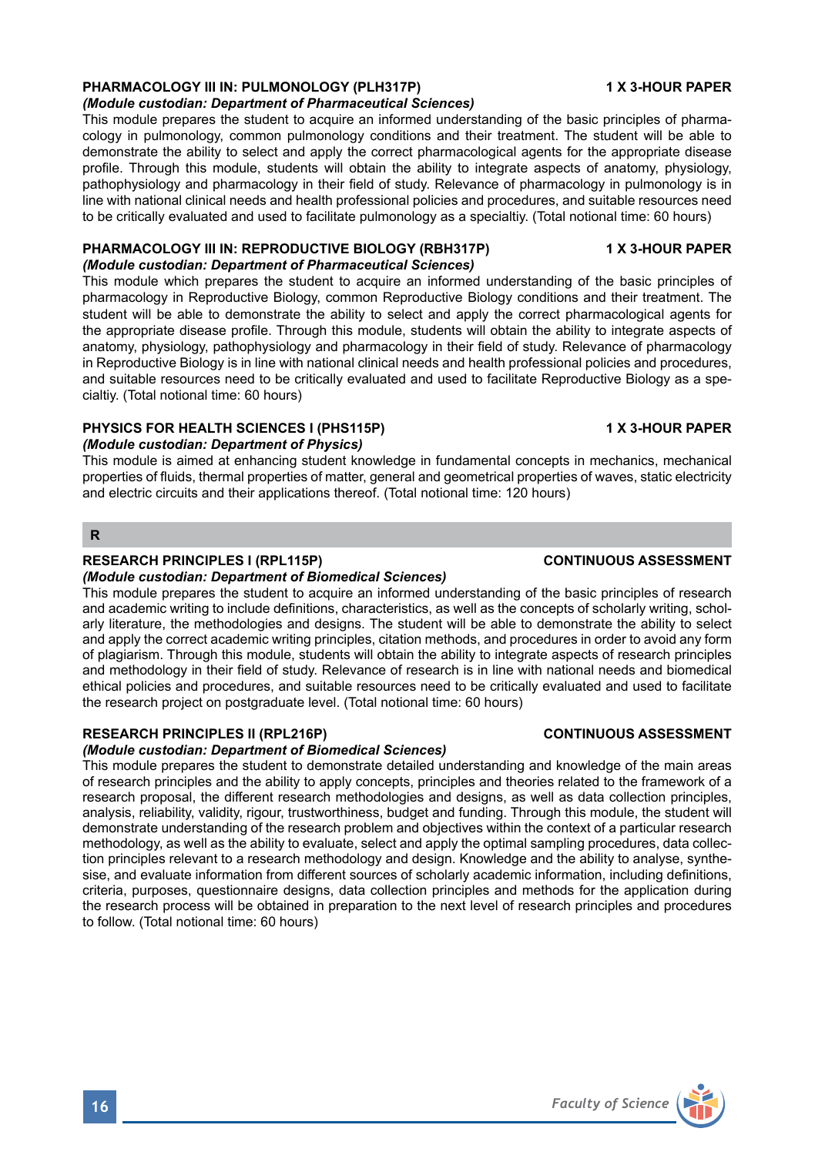# **PHARMACOLOGY III IN: PULMONOLOGY (PLH317P) 4 X 3-HOUR PAPER**

### *(Module custodian: Department of Pharmaceutical Sciences)*

This module prepares the student to acquire an informed understanding of the basic principles of pharmacology in pulmonology, common pulmonology conditions and their treatment. The student will be able to demonstrate the ability to select and apply the correct pharmacological agents for the appropriate disease profile. Through this module, students will obtain the ability to integrate aspects of anatomy, physiology, pathophysiology and pharmacology in their field of study. Relevance of pharmacology in pulmonology is in line with national clinical needs and health professional policies and procedures, and suitable resources need to be critically evaluated and used to facilitate pulmonology as a specialtiy. (Total notional time: 60 hours)

#### **PHARMACOLOGY III IN: REPRODUCTIVE BIOLOGY (RBH317P) 1 X 3-HOUR PAPER** *(Module custodian: Department of Pharmaceutical Sciences)*

This module which prepares the student to acquire an informed understanding of the basic principles of pharmacology in Reproductive Biology, common Reproductive Biology conditions and their treatment. The student will be able to demonstrate the ability to select and apply the correct pharmacological agents for the appropriate disease profile. Through this module, students will obtain the ability to integrate aspects of anatomy, physiology, pathophysiology and pharmacology in their field of study. Relevance of pharmacology in Reproductive Biology is in line with national clinical needs and health professional policies and procedures, and suitable resources need to be critically evaluated and used to facilitate Reproductive Biology as a specialtiy. (Total notional time: 60 hours)

# **PHYSICS FOR HEALTH SCIENCES I (PHS115P) 1 X 3-HOUR PAPER**

# *(Module custodian: Department of Physics)*

This module is aimed at enhancing student knowledge in fundamental concepts in mechanics, mechanical properties of fluids, thermal properties of matter, general and geometrical properties of waves, static electricity and electric circuits and their applications thereof. (Total notional time: 120 hours)

### **R**

### **RESEARCH PRINCIPLES I (RPL115P) CONTINUOUS ASSESSMENT**

### *(Module custodian: Department of Biomedical Sciences)*

This module prepares the student to acquire an informed understanding of the basic principles of research and academic writing to include definitions, characteristics, as well as the concepts of scholarly writing, scholarly literature, the methodologies and designs. The student will be able to demonstrate the ability to select and apply the correct academic writing principles, citation methods, and procedures in order to avoid any form of plagiarism. Through this module, students will obtain the ability to integrate aspects of research principles and methodology in their field of study. Relevance of research is in line with national needs and biomedical ethical policies and procedures, and suitable resources need to be critically evaluated and used to facilitate the research project on postgraduate level. (Total notional time: 60 hours)

# **RESEARCH PRINCIPLES II (RPL216P) CONTINUOUS ASSESSMENT**

### *(Module custodian: Department of Biomedical Sciences)*

This module prepares the student to demonstrate detailed understanding and knowledge of the main areas of research principles and the ability to apply concepts, principles and theories related to the framework of a research proposal, the different research methodologies and designs, as well as data collection principles, analysis, reliability, validity, rigour, trustworthiness, budget and funding. Through this module, the student will demonstrate understanding of the research problem and objectives within the context of a particular research methodology, as well as the ability to evaluate, select and apply the optimal sampling procedures, data collection principles relevant to a research methodology and design. Knowledge and the ability to analyse, synthesise, and evaluate information from different sources of scholarly academic information, including definitions, criteria, purposes, questionnaire designs, data collection principles and methods for the application during the research process will be obtained in preparation to the next level of research principles and procedures to follow. (Total notional time: 60 hours)